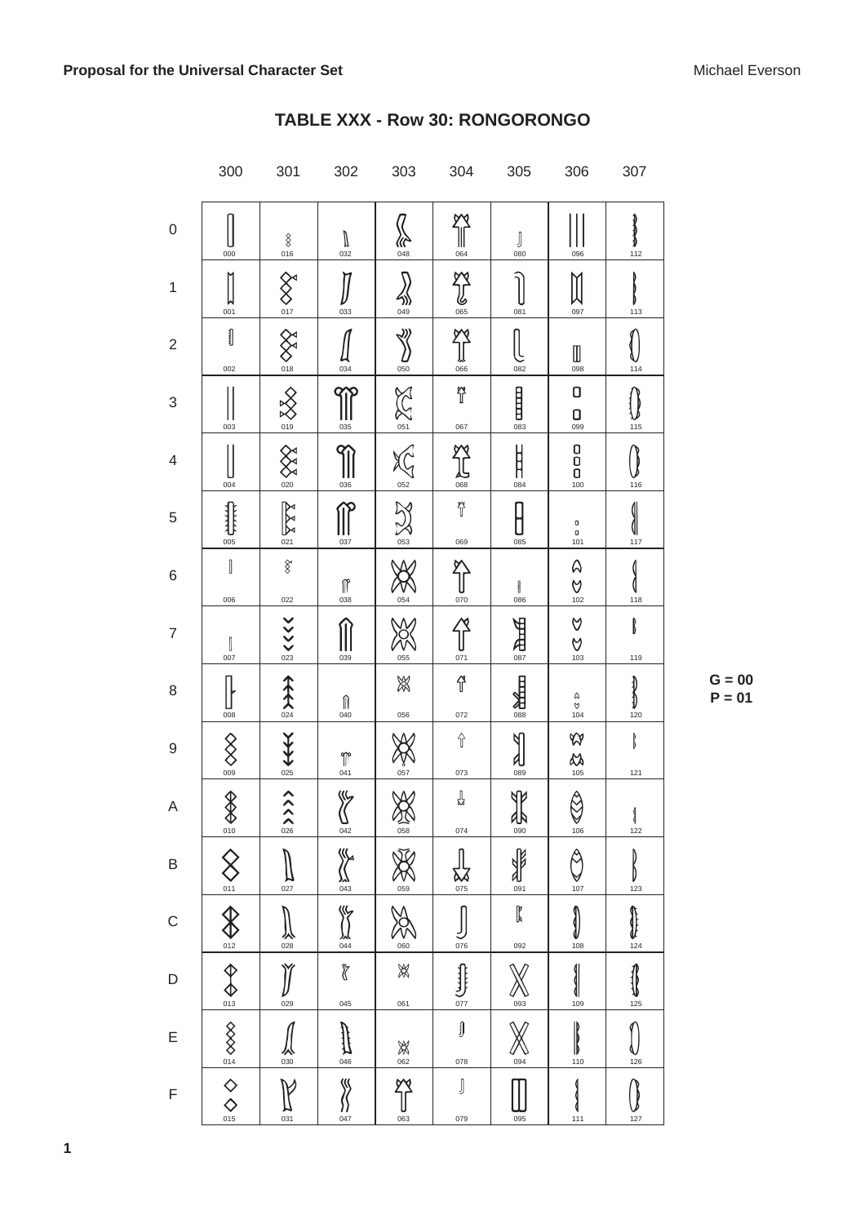|                          | 300                                                                                                                                                                                                                                                                                                                                                                                     | 301                                       | 302                                            | 303                                                      | 304                             | 305                                                                                    | 306                                                           | 307           |
|--------------------------|-----------------------------------------------------------------------------------------------------------------------------------------------------------------------------------------------------------------------------------------------------------------------------------------------------------------------------------------------------------------------------------------|-------------------------------------------|------------------------------------------------|----------------------------------------------------------|---------------------------------|----------------------------------------------------------------------------------------|---------------------------------------------------------------|---------------|
| $\boldsymbol{0}$         | 000                                                                                                                                                                                                                                                                                                                                                                                     | $rac{8}{016}$                             | $\bigcup_{032}$                                | <b>//r&gt;</b><br>048                                    | $\frac{1}{\sqrt{2}}$            | $\int\limits_{080}$                                                                    | 096                                                           | ł<br>112      |
| $\mathbf{1}$             | 001                                                                                                                                                                                                                                                                                                                                                                                     | $\bigotimes_{017}$                        | 033                                            | $\frac{2}{049}$                                          | New                             | 081                                                                                    | 097                                                           | 113           |
| $\sqrt{2}$               | $\mathbb I$<br>002                                                                                                                                                                                                                                                                                                                                                                      | $rac{\mathcal{L}}{\mathcal{L}}$           | $\frac{1}{034}$                                | ∛<br>$\sum_{\underline{050}}$                            | <b>MATION</b>                   | 082                                                                                    | $\begin{array}{c} \hline \rule{0pt}{2ex} \\ 0.98 \end{array}$ | $rac{1}{114}$ |
| 3                        | 003                                                                                                                                                                                                                                                                                                                                                                                     | $rac{1}{\sqrt{2}}$                        | 035                                            | <b>EXES</b>                                              | ĩ<br>067                        | $\begin{bmatrix} 1 \\ 0 \\ 0 \\ 0 \\ 0 \\ 0 \\ \end{bmatrix}$                          | 0<br>$\begin{array}{c}\n\mathbf{O} \\ \hline\n\end{array}$    | 115           |
| $\overline{\mathcal{A}}$ | 004                                                                                                                                                                                                                                                                                                                                                                                     | SXX                                       | 036                                            | $\bigodot_{052}$                                         | <b>ALS</b>                      | $\begin{array}{c}\n\stackrel{\text{1}}{\underset{\text{0.84}}{\right.}}\\ \end{array}$ | $\begin{bmatrix} 0 \\ 0 \\ 0 \\ 100 \end{bmatrix}$            | 116           |
| $\sqrt{5}$               | ∯<br>005                                                                                                                                                                                                                                                                                                                                                                                | $\boxed{\frac{1}{\sqrt{2}}\sum_{i=1}^{N}$ | 037                                            | <b>NAS</b>                                               | $\widetilde{\mathbb{I}}$<br>069 | 085                                                                                    | $\begin{array}{c} {\bf 0} \\ {\bf 0} \\ 101 \end{array}$      | 1<br>117      |
| $\,$ 6 $\,$              | $\begin{array}{c} \rule{0pt}{2.5ex} \rule{0pt}{2.5ex} \rule{0pt}{2.5ex} \rule{0pt}{2.5ex} \rule{0pt}{2.5ex} \rule{0pt}{2.5ex} \rule{0pt}{2.5ex} \rule{0pt}{2.5ex} \rule{0pt}{2.5ex} \rule{0pt}{2.5ex} \rule{0pt}{2.5ex} \rule{0pt}{2.5ex} \rule{0pt}{2.5ex} \rule{0pt}{2.5ex} \rule{0pt}{2.5ex} \rule{0pt}{2.5ex} \rule{0pt}{2.5ex} \rule{0pt}{2.5ex} \rule{0pt}{2.5ex} \rule{0$<br>006 | $\hat{\mathcal{E}}$<br>022                | $\bigcap_{038}$                                | 054                                                      | 070                             | $\begin{array}{c} \end{array}$<br>086                                                  | $\mathsf{\Omega}$<br>$\frac{6}{102}$                          | ≬<br>118      |
| $\overline{7}$           | $\begin{matrix} \Big\downarrow \ 0 & 0 \\ 0 & 0 \\ 0 & 0 \\ 0 & 0 \\ 0 & 0 \\ 0 & 0 \\ 0 & 0 \\ 0 & 0 \\ 0 & 0 \\ 0 & 0 \\ 0 & 0 \\ 0 & 0 \\ 0 & 0 \\ 0 & 0 \\ 0 & 0 \\ 0 & 0 \\ 0 & 0 \\ 0 & 0 \\ 0 & 0 \\ 0 & 0 \\ 0 & 0 \\ 0 & 0 & 0 \\ 0 & 0 & 0 \\ 0 & 0 & 0 \\ 0 & 0 & 0 \\ 0 & 0 & 0 & 0 \\ 0 & 0 & 0 & 0 \\ 0 & 0 & 0 & 0 \\ 0 & 0 & 0 & 0$                                     | $\frac{1}{2}$                             | 039                                            | 055                                                      | $\bigcup_{071}$                 | <b>PHE</b>                                                                             | V<br>$\frac{6}{103}$                                          | B<br>119      |
| 8                        | 008                                                                                                                                                                                                                                                                                                                                                                                     | 余文                                        | $\int_{040}$                                   | X<br>056                                                 | 径<br>072                        | <b>PHARE</b>                                                                           | $\begin{array}{c}\n\text{Q} \\ \text{Q} \\ 104\n\end{array}$  | ≬<br>120      |
| 9                        | $\bigotimes_{\infty}$                                                                                                                                                                                                                                                                                                                                                                   | 。《大大                                      | $\begin{matrix} 1 \\ 0 \\ 4 \\ 1 \end{matrix}$ | $\frac{V}{\sqrt{2}}$                                     | $\Uparrow$<br>073               | Ч<br>$\frac{d}{d}$                                                                     | 288                                                           | ₿<br>121      |
| Α                        | $\bigotimes_{010}$                                                                                                                                                                                                                                                                                                                                                                      | $\lambda$                                 | 《<br>${\sum_{042}}$                            | $\mathsf{W}$<br>签                                        | ╬<br>074                        | <b>ND</b><br>小                                                                         | A<br>$\heartsuit$<br>106                                      | 1<br>122      |
| B                        | $\hat{\times}$<br>011                                                                                                                                                                                                                                                                                                                                                                   | 027                                       | <b>CONTROL</b>                                 | 059                                                      | 075                             | J<br>091                                                                               | 107                                                           | 123           |
| C                        | $\pmb{\mathbb{Q}}$<br>012                                                                                                                                                                                                                                                                                                                                                               | 028                                       | ५<br>११<br>$\frac{34}{044}$                    | 060                                                      | 076                             | $\mathbb{I}$<br>092                                                                    | 108                                                           | 124           |
| D                        | $\hat{\varphi}$<br>$\bigoplus_{013}$                                                                                                                                                                                                                                                                                                                                                    | 029                                       | Ï<br>045                                       | ☀<br>061                                                 | ∯<br>077                        | 093                                                                                    | 109                                                           | 125           |
| E                        | $\frac{\text{14}}{\text{014}}$                                                                                                                                                                                                                                                                                                                                                          | 030                                       | 046                                            | $\begin{matrix} \mathbb{X} \\ \mathbb{0}62 \end{matrix}$ | $\int$<br>078                   | 094                                                                                    | 110                                                           | 126           |
| F                        | $\diamondsuit$ <sub>015</sub>                                                                                                                                                                                                                                                                                                                                                           | 031                                       | «<br>$\frac{1}{047}$                           | <u>YY</u><br>063                                         | J<br>079                        | 095                                                                                    | 111                                                           | 127           |

## TABLE XXX - Row 30: RONGORONGO

 $G = 00$  $P = 01$ 

 $\mathbf{1}$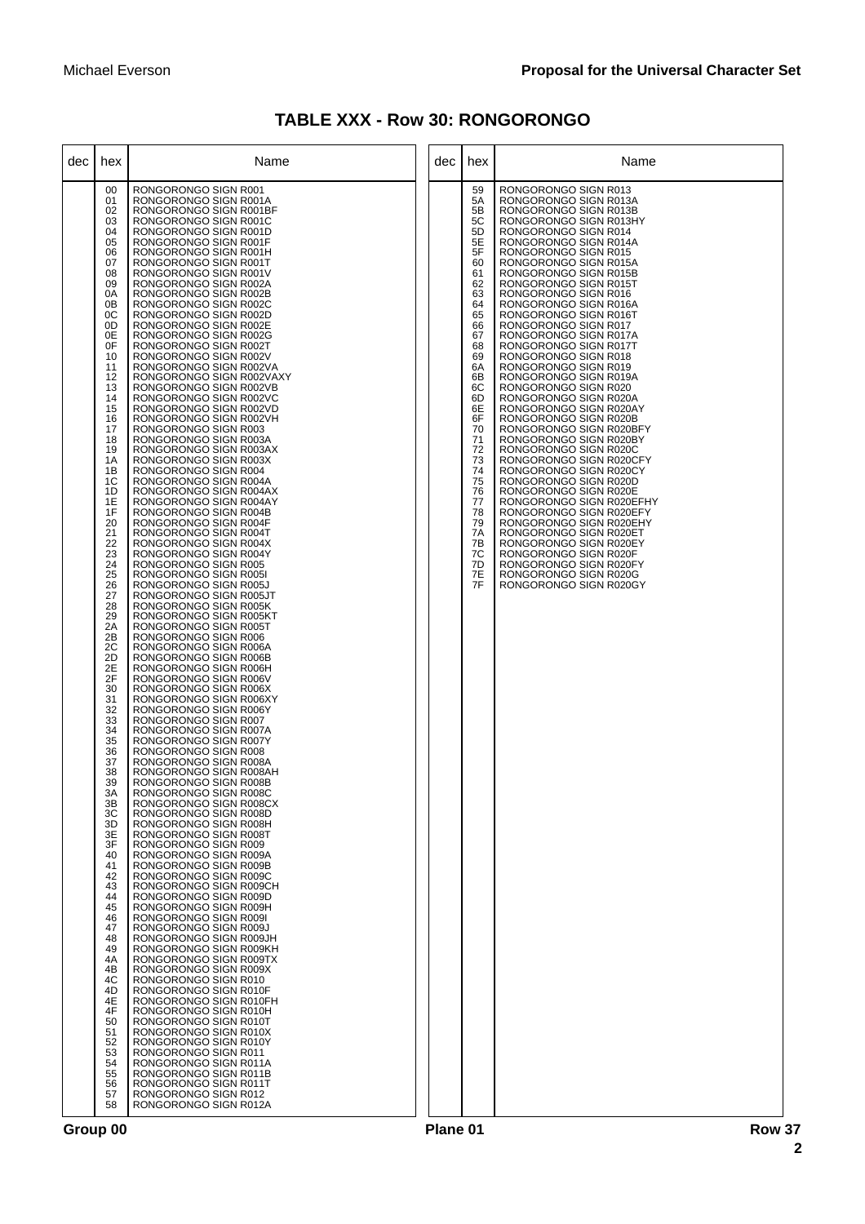| <b>TABLE XXX - Row 30: RONGORONGO</b> |  |  |
|---------------------------------------|--|--|
|---------------------------------------|--|--|

| dec | hex                                                                                                                                                                                                                                                                                                                                                                                                                                                                                                                                                            | Name                                                                                                                                                                                                                                                                                                                                                                                                                                                                                                                                                                                                                                                                                                                                                                                                                                                                                                                                                                                                                                                                                                                                                                                                                                                                                                                                                                                                                                                                                                                                                                                                                                                                                                                                                                                                                                                                                                                                                                                                                                                                                                                                                                                                                                                                                                                            | dec | hex                                                                                                                                                                                                                                    | Name                                                                                                                                                                                                                                                                                                                                                                                                                                                                                                                                                                                                                                                                                                                                                                                                                                                                                                                                                                                                                   |
|-----|----------------------------------------------------------------------------------------------------------------------------------------------------------------------------------------------------------------------------------------------------------------------------------------------------------------------------------------------------------------------------------------------------------------------------------------------------------------------------------------------------------------------------------------------------------------|---------------------------------------------------------------------------------------------------------------------------------------------------------------------------------------------------------------------------------------------------------------------------------------------------------------------------------------------------------------------------------------------------------------------------------------------------------------------------------------------------------------------------------------------------------------------------------------------------------------------------------------------------------------------------------------------------------------------------------------------------------------------------------------------------------------------------------------------------------------------------------------------------------------------------------------------------------------------------------------------------------------------------------------------------------------------------------------------------------------------------------------------------------------------------------------------------------------------------------------------------------------------------------------------------------------------------------------------------------------------------------------------------------------------------------------------------------------------------------------------------------------------------------------------------------------------------------------------------------------------------------------------------------------------------------------------------------------------------------------------------------------------------------------------------------------------------------------------------------------------------------------------------------------------------------------------------------------------------------------------------------------------------------------------------------------------------------------------------------------------------------------------------------------------------------------------------------------------------------------------------------------------------------------------------------------------------------|-----|----------------------------------------------------------------------------------------------------------------------------------------------------------------------------------------------------------------------------------------|------------------------------------------------------------------------------------------------------------------------------------------------------------------------------------------------------------------------------------------------------------------------------------------------------------------------------------------------------------------------------------------------------------------------------------------------------------------------------------------------------------------------------------------------------------------------------------------------------------------------------------------------------------------------------------------------------------------------------------------------------------------------------------------------------------------------------------------------------------------------------------------------------------------------------------------------------------------------------------------------------------------------|
|     | 00<br>01<br>02<br>03<br>04<br>05<br>06<br>07<br>08<br>09<br>0A<br>0 <sub>B</sub><br>0C<br>0D<br>0E<br>0F<br>10<br>11<br>12<br>13<br>14<br>15<br>16<br>17<br>18<br>19<br>1A<br>1B<br>1C<br>1D<br>1E<br>1F<br>20<br>21<br>22<br>23<br>24<br>25<br>26<br>27<br>28<br>29<br>2A<br>2B<br>2C<br>2D<br>2E<br>2F<br>30<br>31<br>32<br>33<br>34<br>35<br>36<br>37<br>38<br>39<br>ЗΑ<br>3B<br>3C<br>3D<br>3E<br>3F<br>40<br>41<br>42<br>43<br>44<br>45<br>46<br>47<br>48<br>49<br>4A<br>4B<br>4C<br>4D<br>4E<br>4F<br>50<br>51<br>52<br>53<br>54<br>55<br>56<br>57<br>58 | RONGORONGO SIGN R001<br>RONGORONGO SIGN R001A<br>RONGORONGO SIGN R001BF<br>RONGORONGO SIGN R001C<br>RONGORONGO SIGN R001D<br>RONGORONGO SIGN R001F<br>RONGORONGO SIGN R001H<br>RONGORONGO SIGN R001T<br>RONGORONGO SIGN R001V<br>RONGORONGO SIGN R002A<br>RONGORONGO SIGN R002B<br>RONGORONGO SIGN R002C<br>RONGORONGO SIGN R002D<br>RONGORONGO SIGN R002E<br>RONGORONGO SIGN R002G<br>RONGORONGO SIGN R002T<br>RONGORONGO SIGN R002V<br>RONGORONGO SIGN R002VA<br>RONGORONGO SIGN R002VAXY<br>RONGORONGO SIGN R002VB<br>RONGORONGO SIGN R002VC<br>RONGORONGO SIGN R002VD<br>RONGORONGO SIGN R002VH<br>RONGORONGO SIGN R003<br>RONGORONGO SIGN R003A<br>RONGORONGO SIGN R003AX<br>RONGORONGO SIGN R003X<br>RONGORONGO SIGN R004<br>RONGORONGO SIGN R004A<br>RONGORONGO SIGN R004AX<br>RONGORONGO SIGN R004AY<br>RONGORONGO SIGN R004B<br>RONGORONGO SIGN R004F<br>RONGORONGO SIGN R004T<br>RONGORONGO SIGN R004X<br>RONGORONGO SIGN R004Y<br>RONGORONGO SIGN R005<br>RONGORONGO SIGN R005I<br>RONGORONGO SIGN R005J<br>RONGORONGO SIGN R005JT<br>RONGORONGO SIGN R005K<br>RONGORONGO SIGN R005KT<br>RONGORONGO SIGN R005T<br>RONGORONGO SIGN R006<br>RONGORONGO SIGN R006A<br>RONGORONGO SIGN R006B<br>RONGORONGO SIGN R006H<br>RONGORONGO SIGN R006V<br>RONGORONGO SIGN R006X<br>RONGORONGO SIGN R006XY<br>RONGORONGO SIGN R006Y<br>RONGORONGO SIGN R007<br>RONGORONGO SIGN R007A<br>RONGORONGO SIGN R007Y<br>RONGORONGO SIGN R008<br>RONGORONGO SIGN R008A<br>RONGORONGO SIGN R008AH<br>RONGORONGO SIGN R008B<br><b>RUNGURUNGU SIGN R008C</b><br>RONGORONGO SIGN R008CX<br>RONGORONGO SIGN R008D<br>RONGORONGO SIGN R008H<br>RONGORONGO SIGN R008T<br>RONGORONGO SIGN R009<br>RONGORONGO SIGN R009A<br>RONGORONGO SIGN R009B<br>RONGORONGO SIGN R009C<br>RONGORONGO SIGN R009CH<br>RONGORONGO SIGN R009D<br>RONGORONGO SIGN R009H<br>RONGORONGO SIGN R009I<br>RONGORONGO SIGN R009J<br>RONGORONGO SIGN R009JH<br>RONGORONGO SIGN R009KH<br>RONGORONGO SIGN R009TX<br>RONGORONGO SIGN R009X<br>RONGORONGO SIGN R010<br>RONGORONGO SIGN R010F<br>RONGORONGO SIGN R010FH<br>RONGORONGO SIGN R010H<br>RONGORONGO SIGN R010T<br>RONGORONGO SIGN R010X<br>RONGORONGO SIGN R010Y<br>RONGORONGO SIGN R011<br>RONGORONGO SIGN R011A<br>RONGORONGO SIGN R011B<br>RONGORONGO SIGN R011T<br>RONGORONGO SIGN R012<br>RONGORONGO SIGN R012A |     | 59<br>5A<br>5B<br>5C<br>5D<br>5E<br>5F<br>60<br>61<br>62<br>63<br>64<br>65<br>66<br>67<br>68<br>69<br>6A<br>6B<br>6C<br>6D<br>6E<br>6F<br>70<br>71<br>72<br>73<br>74<br>75<br>76<br>77<br>78<br>79<br>7A<br>7B<br>7C<br>7D<br>7E<br>7F | RONGORONGO SIGN R013<br>RONGORONGO SIGN R013A<br>RONGORONGO SIGN R013B<br>RONGORONGO SIGN R013HY<br>RONGORONGO SIGN R014<br>RONGORONGO SIGN R014A<br>RONGORONGO SIGN R015<br>RONGORONGO SIGN R015A<br>RONGORONGO SIGN R015B<br>RONGORONGO SIGN R015T<br>RONGORONGO SIGN R016<br>RONGORONGO SIGN R016A<br>RONGORONGO SIGN R016T<br>RONGORONGO SIGN R017<br>RONGORONGO SIGN R017A<br>RONGORONGO SIGN R017T<br>RONGORONGO SIGN R018<br>RONGORONGO SIGN R019<br>RONGORONGO SIGN R019A<br>RONGORONGO SIGN R020<br>RONGORONGO SIGN R020A<br>RONGORONGO SIGN R020AY<br>RONGORONGO SIGN R020B<br>RONGORONGO SIGN R020BFY<br>RONGORONGO SIGN R020BY<br>RONGORONGO SIGN R020C<br>RONGORONGO SIGN R020CFY<br>RONGORONGO SIGN R020CY<br>RONGORONGO SIGN R020D<br>RONGORONGO SIGN R020E<br>RONGORONGO SIGN R020EFHY<br>RONGORONGO SIGN R020EFY<br>RONGORONGO SIGN R020EHY<br>RONGORONGO SIGN R020ET<br>RONGORONGO SIGN R020EY<br>RONGORONGO SIGN R020F<br>RONGORONGO SIGN R020FY<br>RONGORONGO SIGN R020G<br>RONGORONGO SIGN R020GY |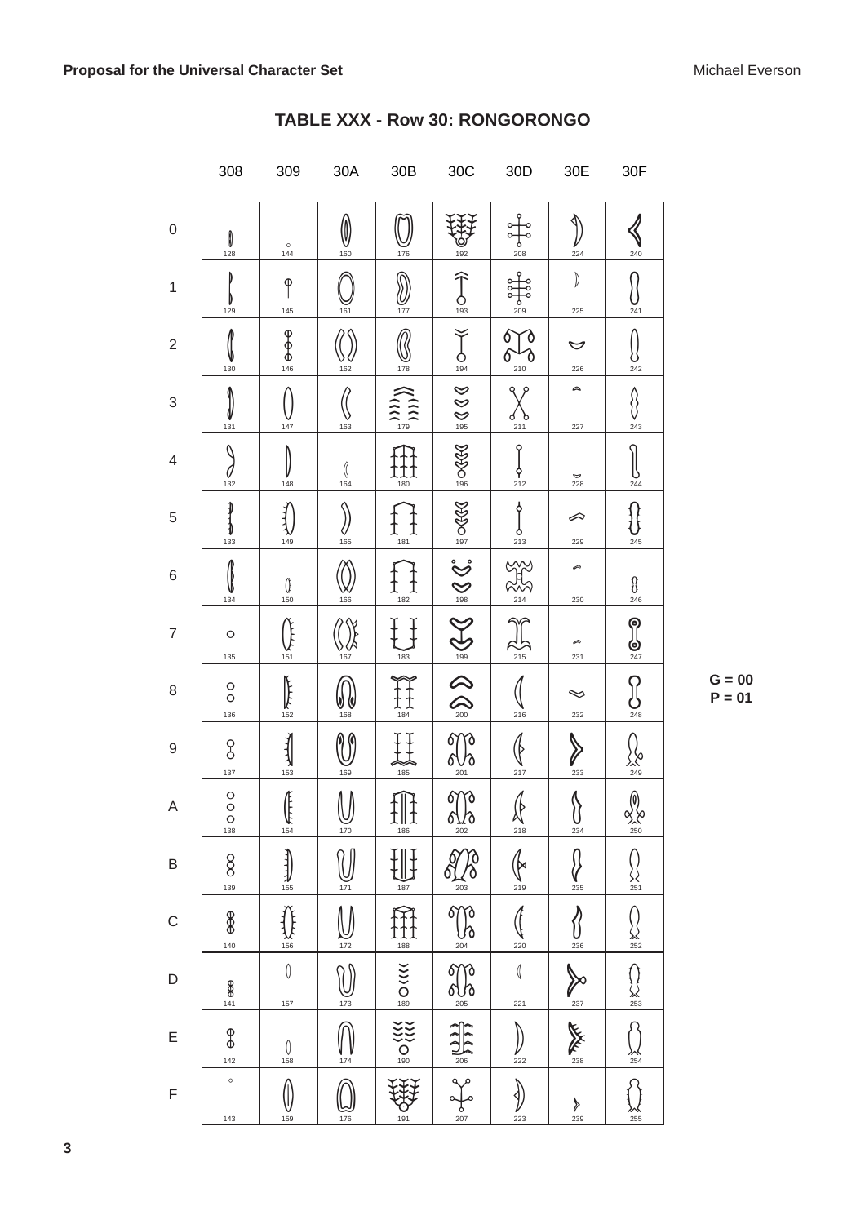|                          | 308                               | 309                     | 30A                           | 30B                                                     | $30\textrm{C}$                                                                                                                                                                                                                                                                                                                                                                                                                             | 30D                          | 30E                       | 30F                                                                                                      |
|--------------------------|-----------------------------------|-------------------------|-------------------------------|---------------------------------------------------------|--------------------------------------------------------------------------------------------------------------------------------------------------------------------------------------------------------------------------------------------------------------------------------------------------------------------------------------------------------------------------------------------------------------------------------------------|------------------------------|---------------------------|----------------------------------------------------------------------------------------------------------|
| $\mathbf 0$              | 0<br>128                          | $\frac{\circ}{144}$     | $\bigcirc$ <sub>160</sub>     | 176                                                     | 192                                                                                                                                                                                                                                                                                                                                                                                                                                        | $rac{1}{208}$                | 224                       | 240                                                                                                      |
| $\mathbf 1$              | 129                               | $\varphi$<br>145        | 161                           | $rac{6}{177}$                                           | $\widehat{\bigcup_{193} }$                                                                                                                                                                                                                                                                                                                                                                                                                 | <u>နှ</u><br>$rac{1}{209}$   | 》<br>225                  | 241                                                                                                      |
| $\overline{c}$           | 130                               | $\frac{1}{\Phi}$<br>146 | 162                           | 178                                                     | $rac{1}{194}$                                                                                                                                                                                                                                                                                                                                                                                                                              | 9<br>$\frac{210}{21}$        | $\breve{~}$<br>226        | 242                                                                                                      |
| 3                        | 131                               | 147                     | 163                           | $\begin{pmatrix} 1 & 1 \\ 1 & 1 \\ 0 & 1 \end{pmatrix}$ | 800 <sup>1</sup>                                                                                                                                                                                                                                                                                                                                                                                                                           | ९१<br><u>ძა</u><br>211       | $\hat{}$<br>227           | 8<br>243                                                                                                 |
| $\overline{\mathcal{A}}$ | 132                               | 148                     | $\langle\!\!\!\langle$<br>164 | 180                                                     | $\frac{1}{8}$ octed                                                                                                                                                                                                                                                                                                                                                                                                                        | Ŷ<br>$rac{\phi}{212}$        | $\frac{6}{228}$           | $\frac{6}{244}$                                                                                          |
| 5                        | ∤<br>D<br>133                     | 149                     | 165                           | 181                                                     | $ $ 30 0 $\frac{1}{2}$                                                                                                                                                                                                                                                                                                                                                                                                                     | የ<br>$rac{6}{213}$           | $\curvearrowright$<br>229 | 245                                                                                                      |
| $\,$ 6 $\,$              | 134                               | $\bigcirc_{150}$        | $\frac{VV}{166}$              | 182                                                     |                                                                                                                                                                                                                                                                                                                                                                                                                                            | $\hat{r}$                    | <i></i><br>230            | $\begin{array}{c} \text{\Large $\left\{ \right\}} \\ \text{\Large $\left\{ \right\}} \\ 246 \end{array}$ |
| $\overline{7}$           | $\circ$<br>135                    | 151                     | 167                           | 183                                                     |                                                                                                                                                                                                                                                                                                                                                                                                                                            | $\frac{214}{215}$            | <i>€</i><br>231           | <b>PUS</b>                                                                                               |
| 8                        | $\circ$<br>136                    | $\frac{1}{152}$         | V (U                          | $\mathop{\mathrm{Tr}}\limits_{\frac{184}{}}$            | $\begin{array}{c c} \mathbb{R} & \mathbb{R} & \mathbb{R} \\ \hline \mathbb{R} & \mathbb{R} & \mathbb{R} \\ \hline \mathbb{R} & \mathbb{R} & \mathbb{R} \\ \mathbb{R} & \mathbb{R} & \mathbb{R} \\ \mathbb{R} & \mathbb{R} & \mathbb{R} \\ \mathbb{R} & \mathbb{R} & \mathbb{R} \\ \mathbb{R} & \mathbb{R} & \mathbb{R} \\ \mathbb{R} & \mathbb{R} & \mathbb{R} \\ \mathbb{R} & \mathbb{R} & \mathbb{R} \\ \mathbb{R} & \mathbb{R} & \math$ | 216                          | ∾<br>232                  | ဂူ<br>248                                                                                                |
| $\hbox{9}$               | 8<br>137                          | $\frac{1}{153}$         | 169                           | 185                                                     | 6770<br>201                                                                                                                                                                                                                                                                                                                                                                                                                                | 217                          | 233                       | $\sum_{249}$                                                                                             |
| A                        | $\rm{^{\circ}}$<br>$\circ$<br>138 | Æ<br>$\frac{1}{154}$    | $\bigcup_{\frac{170}{170}}$   | $\prod_{\mathbf{1} \uplus \mathbf{0}}$                  | 600<br>$\frac{505}{9}$                                                                                                                                                                                                                                                                                                                                                                                                                     | $\text{R}_{\frac{218}{218}}$ | $\langle$<br>U<br>234     | $\circledS$<br>$\frac{8}{250}$                                                                           |
| B                        | $8^{\circ}$<br>139                | $\bigoplus_{155}$       | 171                           | 187                                                     | 203                                                                                                                                                                                                                                                                                                                                                                                                                                        | ʹϻ<br>219                    | 235                       | <b>SZ</b><br>251                                                                                         |
| $\mathsf C$              | 8<br>140                          | 156                     | 172                           | 188                                                     | rò<br>67<br>ී<br>204                                                                                                                                                                                                                                                                                                                                                                                                                       | 220                          | 236                       | 252                                                                                                      |
| D                        | $8$<br>141                        | $\emptyset$<br>157      | 173                           | VANC <sub>189</sub>                                     | 67<br>0 U 0                                                                                                                                                                                                                                                                                                                                                                                                                                | $\mathbb{I}$<br>221          | 237                       | $\frac{1}{253}$                                                                                          |
| E                        | $\frac{1}{6}$<br>142              | $\mathbb{O}$<br>158     | 174                           | $\frac{1}{20}$                                          | $\overline{206}$                                                                                                                                                                                                                                                                                                                                                                                                                           | 222                          | ME<br>238                 | $rac{254}{254}$                                                                                          |
| F                        | $\circ$<br>143                    | 159                     | 176                           | 191                                                     | 207                                                                                                                                                                                                                                                                                                                                                                                                                                        | 223                          | Y<br>239                  | 255                                                                                                      |

### TABLE XXX - Row 30: RONGORONGO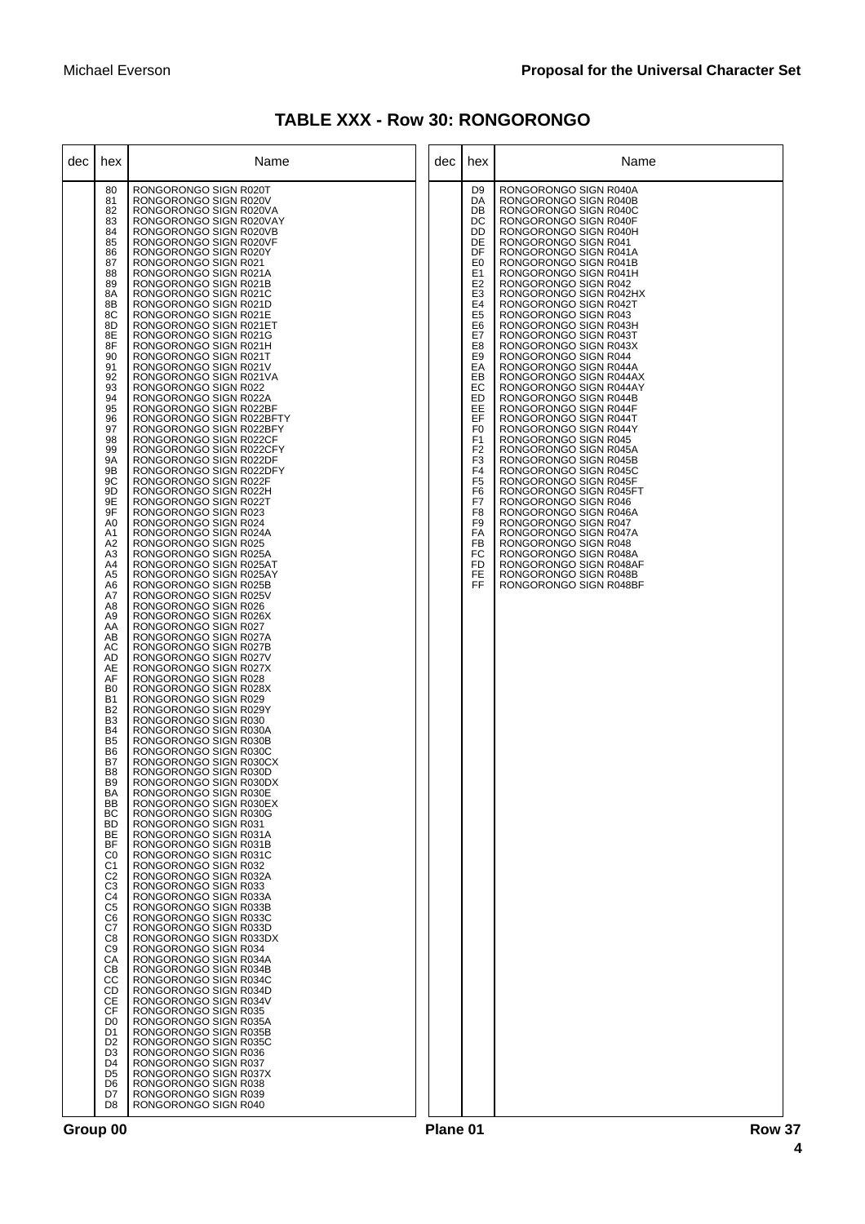| <b>TABLE XXX - Row 30: RONGORONGO</b> |  |  |  |
|---------------------------------------|--|--|--|
|---------------------------------------|--|--|--|

| dec | hex                                                                                                                                                                                                                                                                                                                                                                                                                                                                                                                                                                                                                                                                                                                                                                                                                                                                                                             | Name                                                                                                                                                                                                                                                                                                                                                                                                                                                                                                                                                                                                                                                                                                                                                                                                                                                                                                                                                                                                                                                                                                                                                                                                                                                                                                                                                                                                                                                                                                                                                                                                                                                                                                                                                                                                                                                                                                                                                                                                                                                                                                                                                                                                                                                                                                               | dec | hex                                                                                                                                                                                                                                                                                                                                                                                                                                                              | Name                                                                                                                                                                                                                                                                                                                                                                                                                                                                                                                                                                                                                                                                                                                                                                                                                                                                                                                                                                                                      |
|-----|-----------------------------------------------------------------------------------------------------------------------------------------------------------------------------------------------------------------------------------------------------------------------------------------------------------------------------------------------------------------------------------------------------------------------------------------------------------------------------------------------------------------------------------------------------------------------------------------------------------------------------------------------------------------------------------------------------------------------------------------------------------------------------------------------------------------------------------------------------------------------------------------------------------------|--------------------------------------------------------------------------------------------------------------------------------------------------------------------------------------------------------------------------------------------------------------------------------------------------------------------------------------------------------------------------------------------------------------------------------------------------------------------------------------------------------------------------------------------------------------------------------------------------------------------------------------------------------------------------------------------------------------------------------------------------------------------------------------------------------------------------------------------------------------------------------------------------------------------------------------------------------------------------------------------------------------------------------------------------------------------------------------------------------------------------------------------------------------------------------------------------------------------------------------------------------------------------------------------------------------------------------------------------------------------------------------------------------------------------------------------------------------------------------------------------------------------------------------------------------------------------------------------------------------------------------------------------------------------------------------------------------------------------------------------------------------------------------------------------------------------------------------------------------------------------------------------------------------------------------------------------------------------------------------------------------------------------------------------------------------------------------------------------------------------------------------------------------------------------------------------------------------------------------------------------------------------------------------------------------------------|-----|------------------------------------------------------------------------------------------------------------------------------------------------------------------------------------------------------------------------------------------------------------------------------------------------------------------------------------------------------------------------------------------------------------------------------------------------------------------|-----------------------------------------------------------------------------------------------------------------------------------------------------------------------------------------------------------------------------------------------------------------------------------------------------------------------------------------------------------------------------------------------------------------------------------------------------------------------------------------------------------------------------------------------------------------------------------------------------------------------------------------------------------------------------------------------------------------------------------------------------------------------------------------------------------------------------------------------------------------------------------------------------------------------------------------------------------------------------------------------------------|
|     | 80<br>81<br>82<br>83<br>84<br>85<br>86<br>87<br>88<br>89<br>8A<br>8B<br>8C<br>8D<br>8E<br>8F<br>90<br>91<br>92<br>93<br>94<br>95<br>96<br>97<br>98<br>99<br><b>9A</b><br>9B<br>9C<br>9D<br>9E<br>9F<br>A <sub>0</sub><br>A1<br>A2<br>A <sub>3</sub><br>A4<br>A5<br>A6<br>A7<br>A8<br>A <sub>9</sub><br>AA<br>AB<br>АC<br>AD<br>AE<br>AF<br>B <sub>0</sub><br><b>B1</b><br><b>B2</b><br>B <sub>3</sub><br>B <sub>4</sub><br>B <sub>5</sub><br>B <sub>6</sub><br>B7<br>B <sub>8</sub><br>B <sub>9</sub><br>BA<br><b>BB</b><br>ВC<br><b>BD</b><br>ВE<br><b>BF</b><br>C <sub>0</sub><br>C <sub>1</sub><br>C <sub>2</sub><br>C <sub>3</sub><br>C <sub>4</sub><br>C <sub>5</sub><br>C6<br>C7<br>C8<br>C <sub>9</sub><br>CA<br>CВ<br>CC<br><b>CD</b><br>СE<br>CF<br>D <sub>0</sub><br>D <sub>1</sub><br>D <sub>2</sub><br>D <sub>3</sub><br>D <sub>4</sub><br>D <sub>5</sub><br>D <sub>6</sub><br>D7<br>D <sub>8</sub> | RONGORONGO SIGN R020T<br>RONGORONGO SIGN R020V<br>RONGORONGO SIGN R020VA<br>RONGORONGO SIGN R020VAY<br>RONGORONGO SIGN R020VB<br>RONGORONGO SIGN R020VF<br>RONGORONGO SIGN R020Y<br>RONGORONGO SIGN R021<br>RONGORONGO SIGN R021A<br>RONGORONGO SIGN R021B<br>RONGORONGO SIGN R021C<br>RONGORONGO SIGN R021D<br>RONGORONGO SIGN R021E<br>RONGORONGO SIGN R021ET<br>RONGORONGO SIGN R021G<br>RONGORONGO SIGN R021H<br>RONGORONGO SIGN R021T<br>RONGORONGO SIGN R021V<br>RONGORONGO SIGN R021VA<br>RONGORONGO SIGN R022<br>RONGORONGO SIGN R022A<br>RONGORONGO SIGN R022BF<br>RONGORONGO SIGN R022BFTY<br>RONGORONGO SIGN R022BFY<br>RONGORONGO SIGN R022CF<br>RONGORONGO SIGN R022CFY<br>RONGORONGO SIGN R022DF<br>RONGORONGO SIGN R022DFY<br>RONGORONGO SIGN R022F<br>RONGORONGO SIGN R022H<br>RONGORONGO SIGN R022T<br>RONGORONGO SIGN R023<br>RONGORONGO SIGN R024<br>RONGORONGO SIGN R024A<br>RONGORONGO SIGN R025<br>RONGORONGO SIGN R025A<br>RONGORONGO SIGN R025AT<br>RONGORONGO SIGN R025AY<br>RONGORONGO SIGN R025B<br>RONGORONGO SIGN R025V<br>RONGORONGO SIGN R026<br>RONGORONGO SIGN R026X<br>RONGORONGO SIGN R027<br>RONGORONGO SIGN R027A<br>RONGORONGO SIGN R027B<br>RONGORONGO SIGN R027V<br>RONGORONGO SIGN R027X<br>RONGORONGO SIGN R028<br>RONGORONGO SIGN R028X<br>RONGORONGO SIGN R029<br>RONGORONGO SIGN R029Y<br>RONGORONGO SIGN R030<br>RONGORONGO SIGN R030A<br>RONGORONGO SIGN R030B<br>RONGORONGO SIGN R030C<br>RONGORONGO SIGN R030CX<br>RONGORONGO SIGN R030D<br>RONGORONGO SIGN R030DX<br>RUNGURUNGU SIGN R030E<br>RONGORONGO SIGN R030EX<br>RONGORONGO SIGN R030G<br>RONGORONGO SIGN R031<br>RONGORONGO SIGN R031A<br>RONGORONGO SIGN R031B<br>RONGORONGO SIGN R031C<br>RONGORONGO SIGN R032<br>RONGORONGO SIGN R032A<br>RONGORONGO SIGN R033<br>RONGORONGO SIGN R033A<br>RONGORONGO SIGN R033B<br>RONGORONGO SIGN R033C<br>RONGORONGO SIGN R033D<br>RONGORONGO SIGN R033DX<br>RONGORONGO SIGN R034<br>RONGORONGO SIGN R034A<br>RONGORONGO SIGN R034B<br>RONGORONGO SIGN R034C<br>RONGORONGO SIGN R034D<br>RONGORONGO SIGN R034V<br>RONGORONGO SIGN R035<br>RONGORONGO SIGN R035A<br>RONGORONGO SIGN R035B<br>RONGORONGO SIGN R035C<br>RONGORONGO SIGN R036<br>RONGORONGO SIGN R037<br>RONGORONGO SIGN R037X<br>RONGORONGO SIGN R038<br>RONGORONGO SIGN R039<br>RONGORONGO SIGN R040 |     | D <sub>9</sub><br>DA<br>DB<br>DC<br>DD<br>DE<br>DF<br>E <sub>0</sub><br>E <sub>1</sub><br>E <sub>2</sub><br>E <sub>3</sub><br>E4<br>E <sub>5</sub><br>E <sub>6</sub><br>E7<br>E8<br>E <sub>9</sub><br>EA<br>EВ<br>EC<br>ED<br>EE<br>EF<br>F <sub>0</sub><br>F <sub>1</sub><br>F <sub>2</sub><br>F <sub>3</sub><br>F <sub>4</sub><br>F <sub>5</sub><br>F <sub>6</sub><br>F7<br>F <sub>8</sub><br>F <sub>9</sub><br>FA<br><b>FB</b><br>FC<br>FD<br><b>FE</b><br>FF | RONGORONGO SIGN R040A<br>RONGORONGO SIGN R040B<br>RONGORONGO SIGN R040C<br>RONGORONGO SIGN R040F<br>RONGORONGO SIGN R040H<br>RONGORONGO SIGN R041<br>RONGORONGO SIGN R041A<br>RONGORONGO SIGN R041B<br>RONGORONGO SIGN R041H<br>RONGORONGO SIGN R042<br>RONGORONGO SIGN R042HX<br>RONGORONGO SIGN R042T<br>RONGORONGO SIGN R043<br>RONGORONGO SIGN R043H<br>RONGORONGO SIGN R043T<br>RONGORONGO SIGN R043X<br>RONGORONGO SIGN R044<br>RONGORONGO SIGN R044A<br>RONGORONGO SIGN R044AX<br>RONGORONGO SIGN R044AY<br>RONGORONGO SIGN R044B<br>RONGORONGO SIGN R044F<br>RONGORONGO SIGN R044T<br>RONGORONGO SIGN R044Y<br>RONGORONGO SIGN R045<br>RONGORONGO SIGN R045A<br>RONGORONGO SIGN R045B<br>RONGORONGO SIGN R045C<br>RONGORONGO SIGN R045F<br>RONGORONGO SIGN R045FT<br>RONGORONGO SIGN R046<br>RONGORONGO SIGN R046A<br>RONGORONGO SIGN R047<br>RONGORONGO SIGN R047A<br>RONGORONGO SIGN R048<br>RONGORONGO SIGN R048A<br>RONGORONGO SIGN R048AF<br>RONGORONGO SIGN R048B<br>RONGORONGO SIGN R048BF |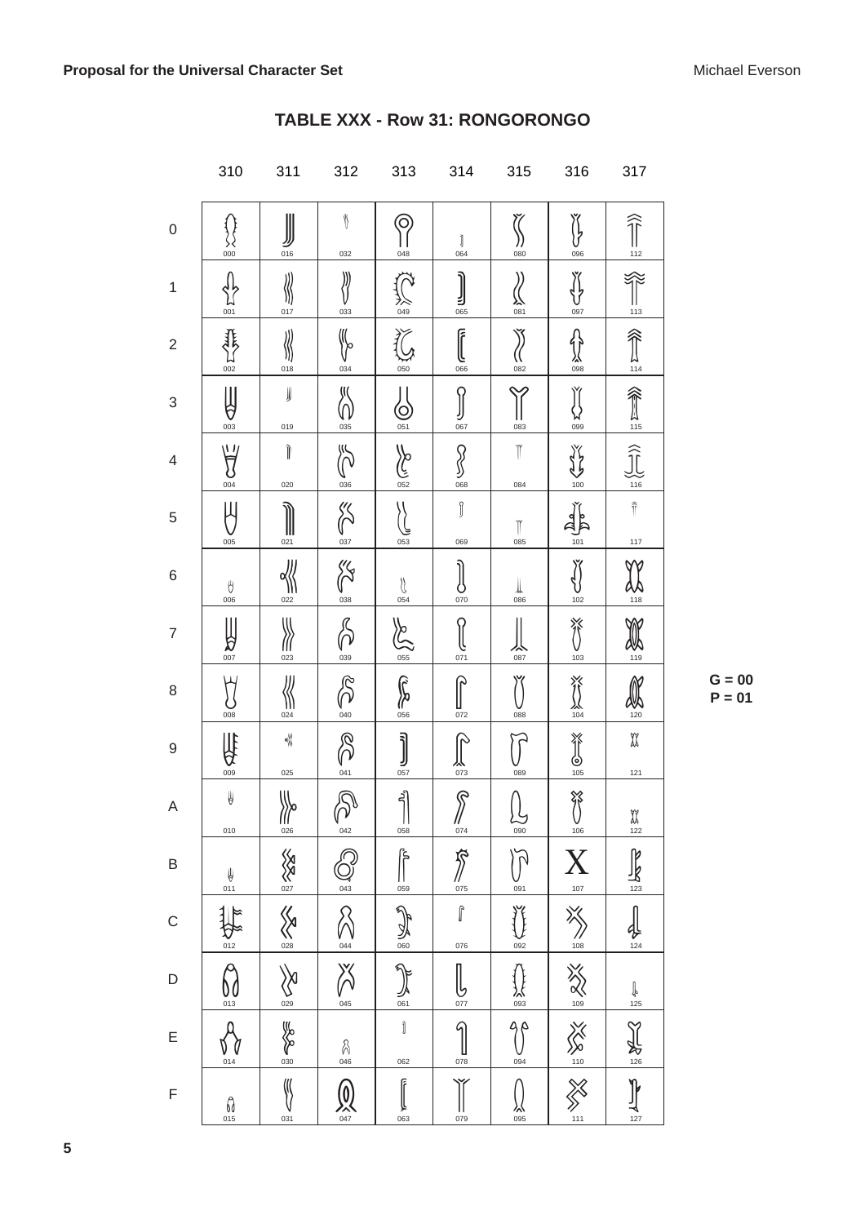|                | 310                              | 311                    | 312                                         | 313                                                          | 314                                                  | 315                               | 316                                     | 317                                                  |
|----------------|----------------------------------|------------------------|---------------------------------------------|--------------------------------------------------------------|------------------------------------------------------|-----------------------------------|-----------------------------------------|------------------------------------------------------|
| 0              | 000                              | 016                    | $\langle\!\langle$<br>032                   | C<br>048                                                     | J<br>064                                             | 080                               | Ĭļ,<br>096                              | $\widehat{\mathbb{T}}$<br>112                        |
| 1              | 001                              | Ш<br>017               | )))<br>033                                  | 2人<br>049                                                    | Е<br>065                                             | <b>入</b><br>081                   | 097                                     | 113                                                  |
| $\overline{2}$ | 002                              | 018                    | 034                                         | 050                                                          | آ<br>066                                             | 082                               | $\frac{1}{2}$                           | $\frac{1}{114}$                                      |
| 3              | 6<br>003                         | JJ<br>019              | 035                                         | C<br>051                                                     | 067                                                  | 083                               | 099                                     | 俞                                                    |
| 4              | Y<br>004                         | Ì<br>020               | 036                                         | <b>Volgence</b>                                              | 068                                                  | Ĭ<br>084                          | 100                                     | 116                                                  |
| 5              | 005                              | 021                    | 037                                         | 053                                                          | ĵ<br>069                                             | Ĭ<br>085                          | 101                                     | $\hat{\mathbb{T}}$<br>117                            |
| 6              | Ŋ<br>006                         | 022                    | JS<br>038                                   | $\bigcup_{054}$                                              | 070                                                  | $\bigcup_{0.86}$                  | 102                                     | <b>W</b><br>118                                      |
| 7              | $\frac{1}{\sqrt{2}}$             | Ш<br>023               | 039                                         | Z<br>$rac{1}{055}$                                           | 071                                                  | 087                               | 脊<br>103                                | 119                                                  |
| 8              | 008                              | 024                    | 040                                         | r<br>R<br>056                                                | 072                                                  | 088                               | 發                                       | 120                                                  |
| 9              | $\mathbf{\hat{A}}$               | ╣<br>025               | 041                                         | $\left[\begin{matrix} 1 \\ 0 \\ 0 \\ 57 \end{matrix}\right]$ | 从<br><sub>073</sub>                                  | 089                               | $\frac{\frac{1}{105}}{\frac{105}{105}}$ | X<br>$121$                                           |
| A              | у<br>010                         | <b>Wo</b>              | $\widehat{\mathcal{P}}$                     | နျိ<br>Ш<br>058                                              | $\widehat{\mathcal{S}}$<br>$\frac{1}{\frac{074}{5}}$ | $\frac{1}{\frac{1}{000}}$         | 帑<br>106                                | $\begin{array}{c}\n\mathfrak{A} \\ 122\n\end{array}$ |
| B              | $\frac{1}{011}$                  | <b>RANS</b>            | $\frac{643}{ }$                             | ع<br>أ<br>$\frac{1}{059}$                                    | $\frac{1}{\sqrt[25]{}}$                              | $\tilde{\gamma}$<br>$rac{6}{091}$ | $\mathbf{X}_{\frac{107}{}}$             | $\mathbb{R}$                                         |
| C              | $rac{1}{012}$                    | XX                     | $\frac{V}{044}$                             | $\mathbb{Q}$                                                 | $\hat{\mathbb{I}}$<br>076                            | 092                               | $\frac{1}{108}$                         | <br><u>124</u>                                       |
| D              | $\Theta$<br>UC<br><sup>013</sup> | $\bigotimes_{0\leq 9}$ | 义<br>045                                    | $\sqrt[3]{x}$<br>丛<br>.061                                   | 077                                                  | $\frac{25}{25}$                   |                                         | $\bigcirc$ 125                                       |
| E              | 014                              | <b>SASSES</b>          | $\frac{2}{046}$                             | Ì<br>062                                                     | 9<br>$\frac{1}{078}$                                 | $\frac{90}{1004}$                 | EXX EXX EXX                             | Y<br>$\frac{1}{2}$                                   |
| F              | $\int_{0.15}$                    | ∭<br>031               | $\bigcirc$<br>$\bigcirc$<br>$\frac{1}{047}$ | F<br>063                                                     | 079                                                  | 095<br>V                          |                                         | $\prod_{127}$                                        |

# TABLE XXX - Row 31: RONGORONGO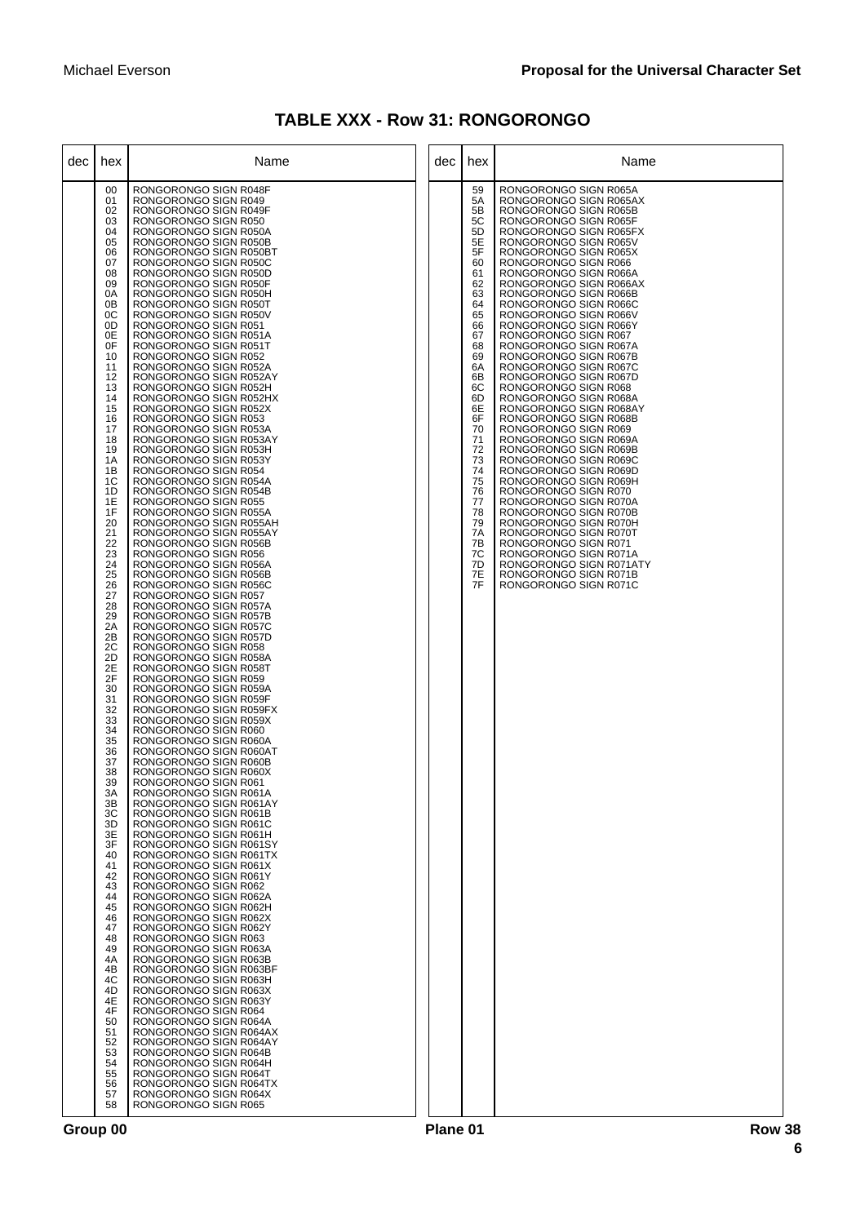| <b>TABLE XXX - Row 31: RONGORONGO</b> |  |  |
|---------------------------------------|--|--|
|---------------------------------------|--|--|

| dec | hex                                                                                                                                                                                                                                                                                                                                                                                                                                                                                                                                                            | Name                                                                                                                                                                                                                                                                                                                                                                                                                                                                                                                                                                                                                                                                                                                                                                                                                                                                                                                                                                                                                                                                                                                                                                                                                                                                                                                                                                                                                                                                                                                                                                                                                                                                                                                                                                                                                                                                                                                                                                                                                                                                                                                                                                                                                                                                                                        | dec | hex                                                                                                                                                                                                                                    | Name                                                                                                                                                                                                                                                                                                                                                                                                                                                                                                                                                                                                                                                                                                                                                                                                                                                                                                                                                                                                        |
|-----|----------------------------------------------------------------------------------------------------------------------------------------------------------------------------------------------------------------------------------------------------------------------------------------------------------------------------------------------------------------------------------------------------------------------------------------------------------------------------------------------------------------------------------------------------------------|-------------------------------------------------------------------------------------------------------------------------------------------------------------------------------------------------------------------------------------------------------------------------------------------------------------------------------------------------------------------------------------------------------------------------------------------------------------------------------------------------------------------------------------------------------------------------------------------------------------------------------------------------------------------------------------------------------------------------------------------------------------------------------------------------------------------------------------------------------------------------------------------------------------------------------------------------------------------------------------------------------------------------------------------------------------------------------------------------------------------------------------------------------------------------------------------------------------------------------------------------------------------------------------------------------------------------------------------------------------------------------------------------------------------------------------------------------------------------------------------------------------------------------------------------------------------------------------------------------------------------------------------------------------------------------------------------------------------------------------------------------------------------------------------------------------------------------------------------------------------------------------------------------------------------------------------------------------------------------------------------------------------------------------------------------------------------------------------------------------------------------------------------------------------------------------------------------------------------------------------------------------------------------------------------------------|-----|----------------------------------------------------------------------------------------------------------------------------------------------------------------------------------------------------------------------------------------|-------------------------------------------------------------------------------------------------------------------------------------------------------------------------------------------------------------------------------------------------------------------------------------------------------------------------------------------------------------------------------------------------------------------------------------------------------------------------------------------------------------------------------------------------------------------------------------------------------------------------------------------------------------------------------------------------------------------------------------------------------------------------------------------------------------------------------------------------------------------------------------------------------------------------------------------------------------------------------------------------------------|
|     | 00<br>01<br>02<br>03<br>04<br>05<br>06<br>07<br>08<br>09<br>0A<br>0 <sub>B</sub><br>0C<br>0D<br>0E<br>0F<br>10<br>11<br>12<br>13<br>14<br>15<br>16<br>17<br>18<br>19<br>1A<br>1B<br>1C<br>1D<br>1E<br>1F<br>20<br>21<br>22<br>23<br>24<br>25<br>26<br>27<br>28<br>29<br>2A<br>2B<br>2C<br>2D<br>2E<br>2F<br>30<br>31<br>32<br>33<br>34<br>35<br>36<br>37<br>38<br>39<br>ЗΑ<br>3B<br>3C<br>3D<br>3E<br>3F<br>40<br>41<br>42<br>43<br>44<br>45<br>46<br>47<br>48<br>49<br>4A<br>4B<br>4C<br>4D<br>4E<br>4F<br>50<br>51<br>52<br>53<br>54<br>55<br>56<br>57<br>58 | RONGORONGO SIGN R048F<br>RONGORONGO SIGN R049<br>RONGORONGO SIGN R049F<br>RONGORONGO SIGN R050<br>RONGORONGO SIGN R050A<br>RONGORONGO SIGN R050B<br>RONGORONGO SIGN R050BT<br>RONGORONGO SIGN R050C<br>RONGORONGO SIGN R050D<br>RONGORONGO SIGN R050F<br>RONGORONGO SIGN R050H<br>RONGORONGO SIGN R050T<br>RONGORONGO SIGN R050V<br>RONGORONGO SIGN R051<br>RONGORONGO SIGN R051A<br>RONGORONGO SIGN R051T<br>RONGORONGO SIGN R052<br>RONGORONGO SIGN R052A<br>RONGORONGO SIGN R052AY<br>RONGORONGO SIGN R052H<br>RONGORONGO SIGN R052HX<br>RONGORONGO SIGN R052X<br>RONGORONGO SIGN R053<br>RONGORONGO SIGN R053A<br>RONGORONGO SIGN R053AY<br>RONGORONGO SIGN R053H<br>RONGORONGO SIGN R053Y<br>RONGORONGO SIGN R054<br>RONGORONGO SIGN R054A<br>RONGORONGO SIGN R054B<br>RONGORONGO SIGN R055<br>RONGORONGO SIGN R055A<br>RONGORONGO SIGN R055AH<br>RONGORONGO SIGN R055AY<br>RONGORONGO SIGN R056B<br>RONGORONGO SIGN R056<br>RONGORONGO SIGN R056A<br>RONGORONGO SIGN R056B<br>RONGORONGO SIGN R056C<br>RONGORONGO SIGN R057<br>RONGORONGO SIGN R057A<br>RONGORONGO SIGN R057B<br>RONGORONGO SIGN R057C<br>RONGORONGO SIGN R057D<br>RONGORONGO SIGN R058<br>RONGORONGO SIGN R058A<br>RONGORONGO SIGN R058T<br>RONGORONGO SIGN R059<br>RONGORONGO SIGN R059A<br>RONGORONGO SIGN R059F<br>RONGORONGO SIGN R059FX<br>RONGORONGO SIGN R059X<br>RONGORONGO SIGN R060<br>RONGORONGO SIGN R060A<br>RONGORONGO SIGN R060AT<br>RONGORONGO SIGN R060B<br>RONGORONGO SIGN R060X<br>RONGORONGO SIGN R061<br>RONGORONGO SIGN R061A<br>RONGORONGO SIGN R061AY<br>RONGORONGO SIGN R061B<br>RONGORONGO SIGN R061C<br>RONGORONGO SIGN R061H<br>RONGORONGO SIGN R061SY<br>RONGORONGO SIGN R061TX<br>RONGORONGO SIGN R061X<br>RONGORONGO SIGN R061Y<br>RONGORONGO SIGN R062<br>RONGORONGO SIGN R062A<br>RONGORONGO SIGN R062H<br>RONGORONGO SIGN R062X<br>RONGORONGO SIGN R062Y<br>RONGORONGO SIGN R063<br>RONGORONGO SIGN R063A<br>RONGORONGO SIGN R063B<br>RONGORONGO SIGN R063BF<br>RONGORONGO SIGN R063H<br>RONGORONGO SIGN R063X<br>RONGORONGO SIGN R063Y<br>RONGORONGO SIGN R064<br>RONGORONGO SIGN R064A<br>RONGORONGO SIGN R064AX<br>RONGORONGO SIGN R064AY<br>RONGORONGO SIGN R064B<br>RONGORONGO SIGN R064H<br>RONGORONGO SIGN R064T<br>RONGORONGO SIGN R064TX<br>RONGORONGO SIGN R064X<br>RONGORONGO SIGN R065 |     | 59<br>5A<br>5B<br>5C<br>5D<br>5E<br>5F<br>60<br>61<br>62<br>63<br>64<br>65<br>66<br>67<br>68<br>69<br>6A<br>6B<br>6C<br>6D<br>6E<br>6F<br>70<br>71<br>72<br>73<br>74<br>75<br>76<br>77<br>78<br>79<br>7A<br>7B<br>7С<br>7D<br>7E<br>7F | RONGORONGO SIGN R065A<br>RONGORONGO SIGN R065AX<br>RONGORONGO SIGN R065B<br>RONGORONGO SIGN R065F<br>RONGORONGO SIGN R065FX<br>RONGORONGO SIGN R065V<br>RONGORONGO SIGN R065X<br>RONGORONGO SIGN R066<br>RONGORONGO SIGN R066A<br>RONGORONGO SIGN R066AX<br>RONGORONGO SIGN R066B<br>RONGORONGO SIGN R066C<br>RONGORONGO SIGN R066V<br>RONGORONGO SIGN R066Y<br>RONGORONGO SIGN R067<br>RONGORONGO SIGN R067A<br>RONGORONGO SIGN R067B<br>RONGORONGO SIGN R067C<br>RONGORONGO SIGN R067D<br>RONGORONGO SIGN R068<br>RONGORONGO SIGN R068A<br>RONGORONGO SIGN R068AY<br>RONGORONGO SIGN R068B<br>RONGORONGO SIGN R069<br>RONGORONGO SIGN R069A<br>RONGORONGO SIGN R069B<br>RONGORONGO SIGN R069C<br>RONGORONGO SIGN R069D<br>RONGORONGO SIGN R069H<br>RONGORONGO SIGN R070<br>RONGORONGO SIGN R070A<br>RONGORONGO SIGN R070B<br>RONGORONGO SIGN R070H<br>RONGORONGO SIGN R070T<br>RONGORONGO SIGN R071<br>RONGORONGO SIGN R071A<br>RONGORONGO SIGN R071ATY<br>RONGORONGO SIGN R071B<br>RONGORONGO SIGN R071C |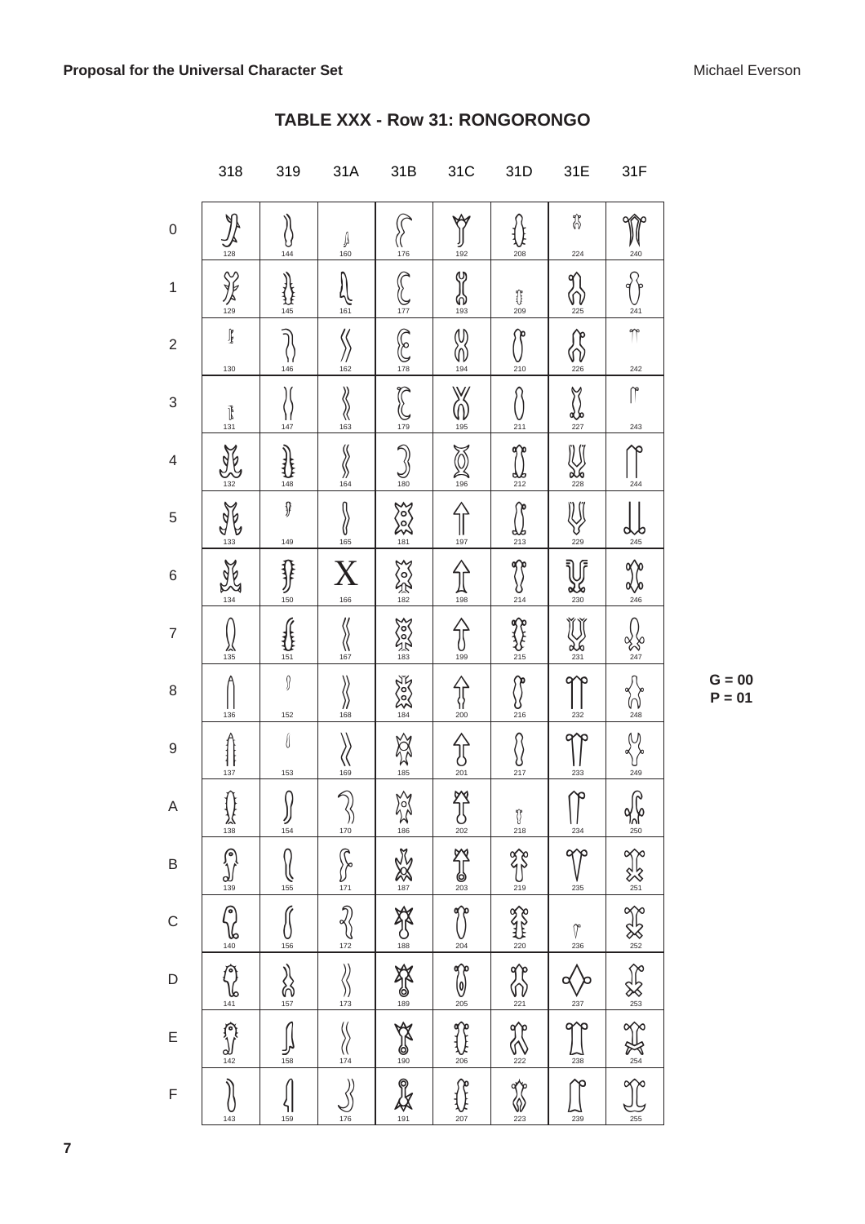|                | 318                                             | 319                       | 31A                                   | 31B                                       | 31C                             | 31D                                                                     | 31E                                                 | 31F                   |
|----------------|-------------------------------------------------|---------------------------|---------------------------------------|-------------------------------------------|---------------------------------|-------------------------------------------------------------------------|-----------------------------------------------------|-----------------------|
| 0              | 128                                             | 144                       | A<br>160                              | 176                                       | 192                             | 208                                                                     | \$<br>224                                           | 240                   |
| 1              | $\frac{8}{129}$                                 | 145                       | 161                                   | $\widehat{\mathcal{E}}$<br>ر)<br>177      | လှ<br>$\bigcirc$ <sub>193</sub> | Û<br>209                                                                | 225                                                 | 241                   |
| $\overline{c}$ | $\mathbb{I}$<br>130                             | 146                       | 162                                   | $\binom{6}{178}$                          | W<br>194                        | 210                                                                     | 226                                                 | 77<br>242             |
| 3              | $\begin{matrix} 1 \\ 0 \\ 1 \\ 31 \end{matrix}$ | 147                       | 11<br>《<br>163                        | $\sum_{179}$                              | 195                             | 211                                                                     | <b>dSo</b><br>227                                   | $\mathcal{L}$<br>243  |
| 4              | 132                                             | 148                       | 164                                   | $\frac{8}{180}$                           | $\frac{1}{196}$                 | 212                                                                     | <b>XJ0</b><br>228                                   | 244                   |
| 5              | $\mathbb{A}$<br>133                             | Ĵ<br>149                  | 165                                   | XXX<br>22                                 | 197                             | 213                                                                     | 229                                                 | 245                   |
| 6              | Ng                                              | {}<br>}}<br>150           | $\mathbf{X}$<br>166                   | <b>ANDREA</b>                             | $\frac{1}{198}$                 | 214                                                                     | $\frac{25}{230}$                                    | $\frac{1}{246}$       |
| 7              | 135                                             | 151                       | 167                                   | <b>CONTROL</b>                            | 199                             | 215                                                                     | $\frac{1}{231}$                                     | .<br>247              |
| 8              | 136                                             | $\int$<br>152             | 168                                   | 2007                                      | $\frac{\{}{200}}$               | 216                                                                     | 232                                                 | V V<br>248            |
| 9              | 1 I<br>137                                      | I<br>153                  | 169                                   | $\frac{1}{185}$                           | $\bigcup_{201}$                 | 217                                                                     | 233                                                 | 249                   |
| A              |                                                 | N<br>$\iint\limits_{154}$ |                                       |                                           | $\sum_{202}$                    | $\begin{bmatrix} 1 \\ 218 \end{bmatrix}$                                | ᡥ<br>$\begin{array}{c}\n\frac{234}{2}\n\end{array}$ |                       |
| B              |                                                 | $\bigcirc_{155}$          | $\frac{2}{\sqrt{2}}$                  |                                           | $\sum_{203}$                    |                                                                         | V<br>235                                            |                       |
| c              |                                                 | $\frac{156}{156}$         | $\sqrt[3]{\frac{1}{172}}$             |                                           |                                 |                                                                         | $\int_{236}^{\infty}$                               |                       |
| D              | أشكلاتها أشكاء أشكامها المتبكة المشكلة          | $\frac{2}{157}$           | $\overline{\mathcal{R}}$<br>))<br>173 | 254 18 28 18 20 18 20 18 20 18 18 20 18 1 | and later and later             | $\frac{1}{22}$<br>$\frac{1}{220}$<br>$\frac{1}{220}$<br>$\frac{1}{220}$ | $\frac{V}{237}$                                     | BES Ext SEXS Ext SEXS |
| E              |                                                 | $\iint\limits_{158}$      | $\sqrt{\frac{1}{174}}$                |                                           |                                 | $\frac{1}{222}$                                                         | $\frac{1}{238}$                                     |                       |
| F              | 143                                             | ۹I<br>159                 | $\sum_{176}$                          |                                           |                                 | $\frac{1}{223}$                                                         | 239                                                 |                       |

# TABLE XXX - Row 31: RONGORONGO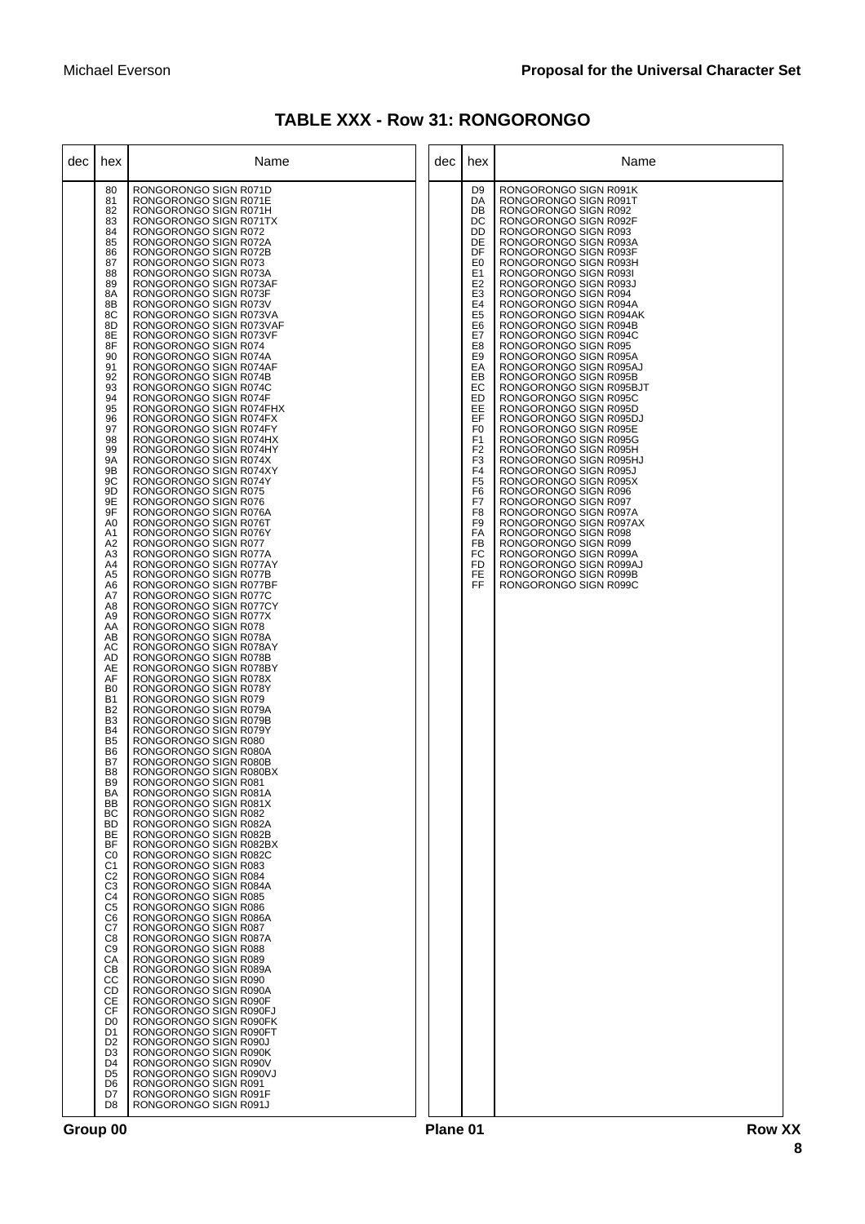| <b>TABLE XXX - Row 31: RONGORONGO</b> |  |  |  |
|---------------------------------------|--|--|--|
|---------------------------------------|--|--|--|

| dec | hex                                                                                                                                                                                                                                                                                                                                                                                                                                                                                                                                                                                                                                                                                                                                                                                                                                                                                               | Name                                                                                                                                                                                                                                                                                                                                                                                                                                                                                                                                                                                                                                                                                                                                                                                                                                                                                                                                                                                                                                                                                                                                                                                                                                                                                                                                                                                                                                                                                                                                                                                                                                                                                                                                                                                                                                                                                                                                                                                                                                                                                                                                                                                                                                                                                                               | dec | hex                                                                                                                                                                                                                                                                                                                                                                                                                                                                          | Name                                                                                                                                                                                                                                                                                                                                                                                                                                                                                                                                                                                                                                                                                                                                                                                                                                                                                                                                                                                                        |
|-----|---------------------------------------------------------------------------------------------------------------------------------------------------------------------------------------------------------------------------------------------------------------------------------------------------------------------------------------------------------------------------------------------------------------------------------------------------------------------------------------------------------------------------------------------------------------------------------------------------------------------------------------------------------------------------------------------------------------------------------------------------------------------------------------------------------------------------------------------------------------------------------------------------|--------------------------------------------------------------------------------------------------------------------------------------------------------------------------------------------------------------------------------------------------------------------------------------------------------------------------------------------------------------------------------------------------------------------------------------------------------------------------------------------------------------------------------------------------------------------------------------------------------------------------------------------------------------------------------------------------------------------------------------------------------------------------------------------------------------------------------------------------------------------------------------------------------------------------------------------------------------------------------------------------------------------------------------------------------------------------------------------------------------------------------------------------------------------------------------------------------------------------------------------------------------------------------------------------------------------------------------------------------------------------------------------------------------------------------------------------------------------------------------------------------------------------------------------------------------------------------------------------------------------------------------------------------------------------------------------------------------------------------------------------------------------------------------------------------------------------------------------------------------------------------------------------------------------------------------------------------------------------------------------------------------------------------------------------------------------------------------------------------------------------------------------------------------------------------------------------------------------------------------------------------------------------------------------------------------------|-----|------------------------------------------------------------------------------------------------------------------------------------------------------------------------------------------------------------------------------------------------------------------------------------------------------------------------------------------------------------------------------------------------------------------------------------------------------------------------------|-------------------------------------------------------------------------------------------------------------------------------------------------------------------------------------------------------------------------------------------------------------------------------------------------------------------------------------------------------------------------------------------------------------------------------------------------------------------------------------------------------------------------------------------------------------------------------------------------------------------------------------------------------------------------------------------------------------------------------------------------------------------------------------------------------------------------------------------------------------------------------------------------------------------------------------------------------------------------------------------------------------|
|     | 80<br>81<br>82<br>83<br>84<br>85<br>86<br>87<br>88<br>89<br>8A<br>8B<br>8C<br>8D<br>8E<br>8F<br>90<br>91<br>92<br>93<br>94<br>95<br>96<br>97<br>98<br>99<br>9Α<br>9Β<br>9C<br>9D<br>9E<br>9F<br>A <sub>0</sub><br>A1<br>A2<br>A3<br>A4<br>A <sub>5</sub><br>A6<br>A7<br>A8<br>A9<br>AA<br>AB<br>AC<br><b>AD</b><br>AE<br>AF<br>B <sub>0</sub><br>B1<br>B <sub>2</sub><br>B <sub>3</sub><br><b>B4</b><br>B <sub>5</sub><br>B <sub>6</sub><br>B7<br>B <sub>8</sub><br>B <sub>9</sub><br>BA<br>BB<br>BC<br><b>BD</b><br>BE<br><b>BF</b><br>C <sub>0</sub><br>C <sub>1</sub><br>C <sub>2</sub><br>C <sub>3</sub><br>C <sub>4</sub><br>C <sub>5</sub><br>C <sub>6</sub><br>C7<br>C <sub>8</sub><br>C <sub>9</sub><br>CA<br>CB<br>CC<br><b>CD</b><br>СE<br>CF<br>D <sub>0</sub><br>D <sub>1</sub><br>D <sub>2</sub><br>D <sub>3</sub><br>D <sub>4</sub><br>D <sub>5</sub><br>D <sub>6</sub><br>D7<br>D8 | RONGORONGO SIGN R071D<br>RONGORONGO SIGN R071E<br>RONGORONGO SIGN R071H<br>RONGORONGO SIGN R071TX<br>RONGORONGO SIGN R072<br>RONGORONGO SIGN R072A<br>RONGORONGO SIGN R072B<br>RONGORONGO SIGN R073<br>RONGORONGO SIGN R073A<br>RONGORONGO SIGN R073AF<br>RONGORONGO SIGN R073F<br>RONGORONGO SIGN R073V<br>RONGORONGO SIGN R073VA<br>RONGORONGO SIGN R073VAF<br>RONGORONGO SIGN R073VF<br>RONGORONGO SIGN R074<br>RONGORONGO SIGN R074A<br>RONGORONGO SIGN R074AF<br>RONGORONGO SIGN R074B<br>RONGORONGO SIGN R074C<br>RONGORONGO SIGN R074F<br>RONGORONGO SIGN R074FHX<br>RONGORONGO SIGN R074FX<br>RONGORONGO SIGN R074FY<br>RONGORONGO SIGN R074HX<br>RONGORONGO SIGN R074HY<br>RONGORONGO SIGN R074X<br>RONGORONGO SIGN R074XY<br>RONGORONGO SIGN R074Y<br>RONGORONGO SIGN R075<br>RONGORONGO SIGN R076<br>RONGORONGO SIGN R076A<br>RONGORONGO SIGN R076T<br>RONGORONGO SIGN R076Y<br>RONGORONGO SIGN R077<br>RONGORONGO SIGN R077A<br>RONGORONGO SIGN R077AY<br>RONGORONGO SIGN R077B<br>RONGORONGO SIGN R077BF<br>RONGORONGO SIGN R077C<br>RONGORONGO SIGN R077CY<br>RONGORONGO SIGN R077X<br>RONGORONGO SIGN R078<br>RONGORONGO SIGN R078A<br>RONGORONGO SIGN R078AY<br>RONGORONGO SIGN R078B<br>RONGORONGO SIGN R078BY<br>RONGORONGO SIGN R078X<br>RONGORONGO SIGN R078Y<br>RONGORONGO SIGN R079<br>RONGORONGO SIGN R079A<br>RONGORONGO SIGN R079B<br>RONGORONGO SIGN R079Y<br>RONGORONGO SIGN R080<br>RONGORONGO SIGN R080A<br>RONGORONGO SIGN R080B<br>RONGORONGO SIGN R080BX<br>RONGORONGO SIGN R081<br>RONGORONGO SIGN R081A<br>RONGORONGO SIGN R081X<br>RONGORONGO SIGN R082<br>RONGORONGO SIGN R082A<br>RONGORONGO SIGN R082B<br>RONGORONGO SIGN R082BX<br>RONGORONGO SIGN R082C<br>RONGORONGO SIGN R083<br>RONGORONGO SIGN R084<br>RONGORONGO SIGN R084A<br>RONGORONGO SIGN R085<br>RONGORONGO SIGN R086<br>RONGORONGO SIGN R086A<br>RONGORONGO SIGN R087<br>RONGORONGO SIGN R087A<br>RONGORONGO SIGN R088<br>RONGORONGO SIGN R089<br>RONGORONGO SIGN R089A<br>RONGORONGO SIGN R090<br>RONGORONGO SIGN R090A<br>RONGORONGO SIGN R090F<br>RONGORONGO SIGN R090FJ<br>RONGORONGO SIGN R090FK<br>RONGORONGO SIGN R090FT<br>RONGORONGO SIGN R090J<br>RONGORONGO SIGN R090K<br>RONGORONGO SIGN R090V<br>RONGORONGO SIGN R090VJ<br>RONGORONGO SIGN R091<br>RONGORONGO SIGN R091F<br>RONGORONGO SIGN R091J |     | D <sub>9</sub><br>DA<br>DB<br>DC<br>DD<br>DE<br>DF<br>E <sub>0</sub><br>E <sub>1</sub><br>E <sub>2</sub><br>E <sub>3</sub><br>E <sub>4</sub><br>E <sub>5</sub><br>E <sub>6</sub><br>E7<br>E8<br>E <sub>9</sub><br>EA<br>EВ<br>EC<br>ED<br>EE<br>EF<br>F <sub>0</sub><br>F <sub>1</sub><br>F <sub>2</sub><br>F <sub>3</sub><br>F <sub>4</sub><br>F <sub>5</sub><br>F <sub>6</sub><br>F7<br>F <sub>8</sub><br>F <sub>9</sub><br>FA<br><b>FB</b><br>FC<br>FD<br><b>FE</b><br>FF | RONGORONGO SIGN R091K<br>RONGORONGO SIGN R091T<br>RONGORONGO SIGN R092<br>RONGORONGO SIGN R092F<br>RONGORONGO SIGN R093<br>RONGORONGO SIGN R093A<br>RONGORONGO SIGN R093F<br>RONGORONGO SIGN R093H<br>RONGORONGO SIGN R093I<br>RONGORONGO SIGN R093J<br>RONGORONGO SIGN R094<br>RONGORONGO SIGN R094A<br>RONGORONGO SIGN R094AK<br>RONGORONGO SIGN R094B<br>RONGORONGO SIGN R094C<br>RONGORONGO SIGN R095<br>RONGORONGO SIGN R095A<br>RONGORONGO SIGN R095AJ<br>RONGORONGO SIGN R095B<br>RONGORONGO SIGN R095BJT<br>RONGORONGO SIGN R095C<br>RONGORONGO SIGN R095D<br>RONGORONGO SIGN R095DJ<br>RONGORONGO SIGN R095E<br>RONGORONGO SIGN R095G<br>RONGORONGO SIGN R095H<br>RONGORONGO SIGN R095HJ<br>RONGORONGO SIGN R095J<br>RONGORONGO SIGN R095X<br>RONGORONGO SIGN R096<br>RONGORONGO SIGN R097<br>RONGORONGO SIGN R097A<br>RONGORONGO SIGN R097AX<br>RONGORONGO SIGN R098<br>RONGORONGO SIGN R099<br>RONGORONGO SIGN R099A<br>RONGORONGO SIGN R099AJ<br>RONGORONGO SIGN R099B<br>RONGORONGO SIGN R099C |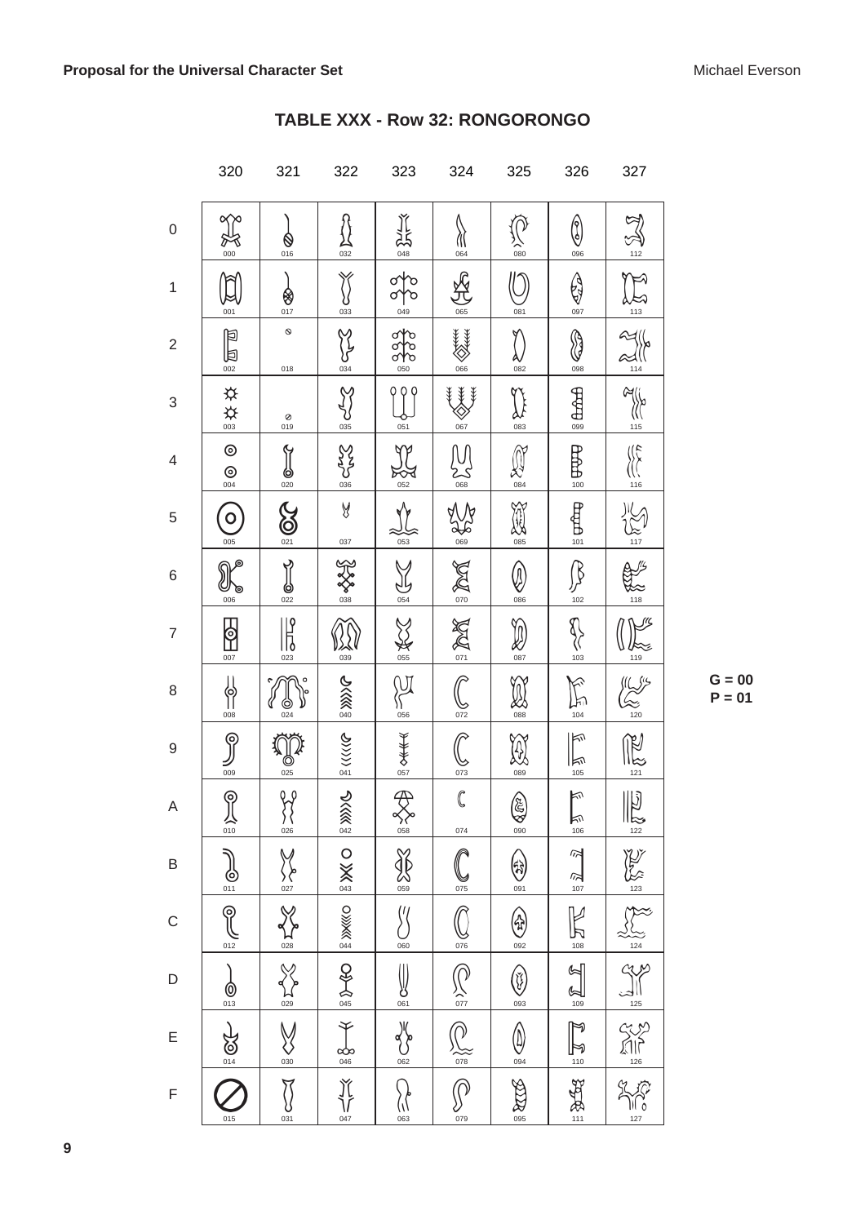|                  | 320                            | 321                           | 322                                                                   | 323                                            | 324                                                                   | 325                          | 326                                                                                                                                                                                                                                                                                                                                                                                          | 327                                                                                                                                                                                                                            |
|------------------|--------------------------------|-------------------------------|-----------------------------------------------------------------------|------------------------------------------------|-----------------------------------------------------------------------|------------------------------|----------------------------------------------------------------------------------------------------------------------------------------------------------------------------------------------------------------------------------------------------------------------------------------------------------------------------------------------------------------------------------------------|--------------------------------------------------------------------------------------------------------------------------------------------------------------------------------------------------------------------------------|
| $\boldsymbol{0}$ | প্≧<br>$\sum_{000}$            | 016                           | 032                                                                   | <b>NHT</b>                                     | $\frac{\sqrt{1}}{064}$                                                | $rac{1}{080}$                | ᠿ<br>096                                                                                                                                                                                                                                                                                                                                                                                     | $\sum_{112}$                                                                                                                                                                                                                   |
| 1                | 001                            | 80.17                         | 033                                                                   | 049                                            | 065                                                                   | 081                          | Q<br>097                                                                                                                                                                                                                                                                                                                                                                                     | $\sum_{113}$                                                                                                                                                                                                                   |
| $\overline{2}$   | $\sum_{\infty}$                | $\mathsf{\mathcal{Q}}$<br>018 | $\frac{2}{\frac{3}{2}}$                                               | $rac{93}{60}$                                  | <b>ANAKAKA</b><br>$066$                                               | AV<br>082                    | H<br>098                                                                                                                                                                                                                                                                                                                                                                                     | $\frac{2}{\frac{2}{114}}$                                                                                                                                                                                                      |
| 3                | ◎☆☆                            | Ø<br>019                      | SCALLS                                                                | $rac{1}{051}$                                  | {¥¥<br>067                                                            | 083                          | <b>HUTB</b>                                                                                                                                                                                                                                                                                                                                                                                  | $\frac{2}{\frac{2}{115}}$                                                                                                                                                                                                      |
| $\overline{4}$   | $^{\circ}$<br>$rac{1}{004}$    | $\frac{1}{\frac{1}{020}}$     | <b>Sydes</b>                                                          | $\frac{1}{\sqrt{2}}$                           | $\sum_{068}$                                                          | $\bigotimes_{084}$           | $\frac{1}{2}$                                                                                                                                                                                                                                                                                                                                                                                | $\frac{\sqrt{2}}{\sqrt{2}}$                                                                                                                                                                                                    |
| 5                | $\circ$<br>005                 | $\bigotimes_{021}$            | y<br>037                                                              | $rac{1}{053}$                                  | $\frac{2}{\frac{1}{100}}$                                             | <b>NEWS</b>                  | depths                                                                                                                                                                                                                                                                                                                                                                                       | $\sum_{117}$                                                                                                                                                                                                                   |
| $\,$ 6 $\,$      | 006                            | Y<br>$rac{1}{20}$             | XXX                                                                   | $\bigcup_{054}$                                | $ \tilde{z} \approx$                                                  | $\bigcirc$<br>086            | B<br>リ<br>102                                                                                                                                                                                                                                                                                                                                                                                | $\frac{118}{118}$                                                                                                                                                                                                              |
| $\overline{7}$   | <u>  6)</u><br>$\frac{1}{007}$ | $\frac{\sqrt{2}}{\sqrt{2}}$   | 039                                                                   | <b>NASIS</b>                                   | $\sum_{\alpha=1}^{\infty} \sum_{\alpha=1}^{\infty}$                   | $\mathcal{D}$<br>087         | $\frac{1}{2}$                                                                                                                                                                                                                                                                                                                                                                                | $\frac{1}{119}$                                                                                                                                                                                                                |
| 8                | ll<br>11<br>008                | C<br>024                      | <b>S XXX 00</b>                                                       | 056                                            | $\widehat{\mathcal{C}}$<br><u>پا</u><br>072                           | <b>A</b>                     | 104                                                                                                                                                                                                                                                                                                                                                                                          | $\frac{1}{20}$                                                                                                                                                                                                                 |
| 9                | ႙<br>009                       | $rac{1}{\sqrt{0}}$            | $\frac{1}{2} \langle \langle \langle \rangle \rangle \langle \rangle$ | 88全未久                                          | $rac{60}{\frac{073}{2}}$                                              | $\frac{1}{2}$                | 际<br>kv<br>$rac{105}{105}$                                                                                                                                                                                                                                                                                                                                                                   | $\mathbb{R}$                                                                                                                                                                                                                   |
| A                | $\frac{1}{\sqrt{10}}$          | $\frac{2}{\sqrt{26}}$         | 2000                                                                  | $\overline{\mathcal{P}}$<br>$\bigotimes_{058}$ | $\overline{\mathbb{C}}$<br>074                                        | 60                           | $\mathbb{F}$<br>$\frac{1}{106}$                                                                                                                                                                                                                                                                                                                                                              |                                                                                                                                                                                                                                |
| B                | $\sum_{011}$                   | <b>Veryon</b>                 |                                                                       | $\frac{1}{\sqrt{2}}$                           | $\frac{10}{075}$                                                      | $\bigotimes_{091}$           | $\approx$<br>$\frac{107}{107}$                                                                                                                                                                                                                                                                                                                                                               |                                                                                                                                                                                                                                |
| $\mathsf{C}$     | $\mathbb{R}$<br>$rac{1}{012}$  | $\frac{1}{028}$               | <b>DIXKKO</b> THE SAME O                                              | $\sqrt[6]{}$<br>$\frac{60}{60}$                | $\overline{\mathbb{Q}}$                                               | ⊕<br>092                     | $\frac{1}{\sqrt{2}}$                                                                                                                                                                                                                                                                                                                                                                         |                                                                                                                                                                                                                                |
| $\mathsf D$      | $\frac{1}{013}$                |                               | 25/6                                                                  | $\sum_{061}$                                   |                                                                       | $\bigcirc$                   | $\frac{\partial}{\partial \omega}$                                                                                                                                                                                                                                                                                                                                                           |                                                                                                                                                                                                                                |
| Ε                | 20/14                          | SAS DE                        | $rac{8}{\frac{046}{}}$                                                | JK<br>062                                      | $\frac{\sum_{\substack{0.7\\0.7\\0.78}}}{\sum_{\substack{0.7\\0.78}}$ | $\bigoplus_{\circledcirc 4}$ |                                                                                                                                                                                                                                                                                                                                                                                              | ENGEL SURVEY OF THE STATE OF THE ALL OF THE ALL OF THE ALL OF THE ALL OF THE ALL OF THE ALL OF THE ALL OF THE ALL OF THE ALL OF THE ALL OF THE ALL OF THE ALL OF THE ALL OF THE ALL OF THE ALL OF THE ALL OF THE ALL OF THE AL |
| $\mathsf F$      | 015                            | $\widetilde{\S}$<br>031       | $\frac{\text{M}}{\text{M}}$ <sub>047</sub>                            | ( <br> <br> <br> <br>}                         | $\overline{\mathcal{S}}$                                              | SERRE                        | $\frac{1}{2} \frac{1}{2} \frac{1}{2} \frac{1}{2} \frac{1}{2} \frac{1}{2} \frac{1}{2} \frac{1}{2} \frac{1}{2} \frac{1}{2} \frac{1}{2} \frac{1}{2} \frac{1}{2} \frac{1}{2} \frac{1}{2} \frac{1}{2} \frac{1}{2} \frac{1}{2} \frac{1}{2} \frac{1}{2} \frac{1}{2} \frac{1}{2} \frac{1}{2} \frac{1}{2} \frac{1}{2} \frac{1}{2} \frac{1}{2} \frac{1}{2} \frac{1}{2} \frac{1}{2} \frac{1}{2} \frac{$ |                                                                                                                                                                                                                                |

#### TABLE XXX - Row 32: RONGORONGO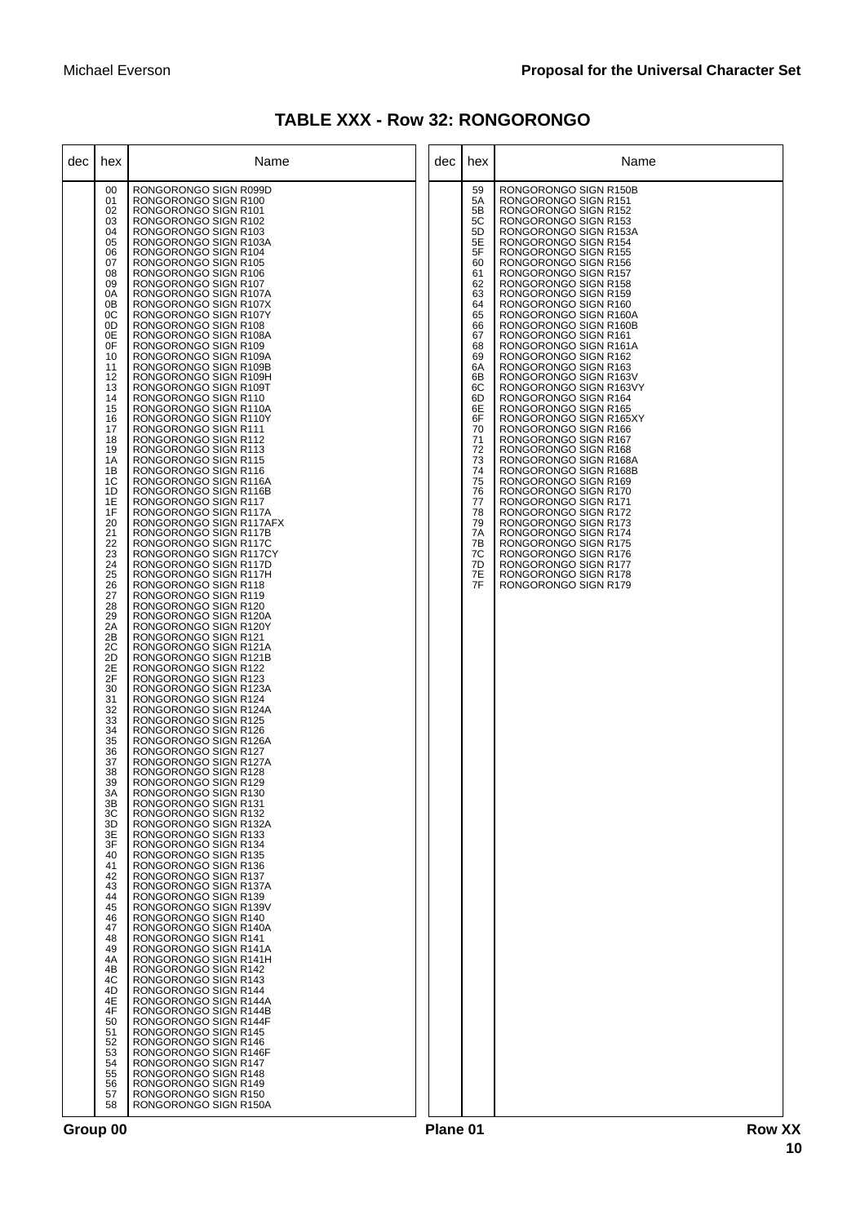| <b>TABLE XXX - Row 32: RONGORONGO</b> |  |  |  |
|---------------------------------------|--|--|--|
|---------------------------------------|--|--|--|

| dec | hex                                                                                                                                                                                                                                                                                                                                                                                                                                                                                                                                                            | Name                                                                                                                                                                                                                                                                                                                                                                                                                                                                                                                                                                                                                                                                                                                                                                                                                                                                                                                                                                                                                                                                                                                                                                                                                                                                                                                                                                                                                                                                                                                                                                                                                                                                                                                                                                                                                                                                                                                                                                                                                                                                                                                                                                                                                                                            | dec | hex                                                                                                                                                                                                                                    | Name                                                                                                                                                                                                                                                                                                                                                                                                                                                                                                                                                                                                                                                                                                                                                                                                                                                                                                                                                                             |
|-----|----------------------------------------------------------------------------------------------------------------------------------------------------------------------------------------------------------------------------------------------------------------------------------------------------------------------------------------------------------------------------------------------------------------------------------------------------------------------------------------------------------------------------------------------------------------|-----------------------------------------------------------------------------------------------------------------------------------------------------------------------------------------------------------------------------------------------------------------------------------------------------------------------------------------------------------------------------------------------------------------------------------------------------------------------------------------------------------------------------------------------------------------------------------------------------------------------------------------------------------------------------------------------------------------------------------------------------------------------------------------------------------------------------------------------------------------------------------------------------------------------------------------------------------------------------------------------------------------------------------------------------------------------------------------------------------------------------------------------------------------------------------------------------------------------------------------------------------------------------------------------------------------------------------------------------------------------------------------------------------------------------------------------------------------------------------------------------------------------------------------------------------------------------------------------------------------------------------------------------------------------------------------------------------------------------------------------------------------------------------------------------------------------------------------------------------------------------------------------------------------------------------------------------------------------------------------------------------------------------------------------------------------------------------------------------------------------------------------------------------------------------------------------------------------------------------------------------------------|-----|----------------------------------------------------------------------------------------------------------------------------------------------------------------------------------------------------------------------------------------|----------------------------------------------------------------------------------------------------------------------------------------------------------------------------------------------------------------------------------------------------------------------------------------------------------------------------------------------------------------------------------------------------------------------------------------------------------------------------------------------------------------------------------------------------------------------------------------------------------------------------------------------------------------------------------------------------------------------------------------------------------------------------------------------------------------------------------------------------------------------------------------------------------------------------------------------------------------------------------|
|     | 00<br>01<br>02<br>03<br>04<br>05<br>06<br>07<br>08<br>09<br>0A<br>0 <sub>B</sub><br>0C<br>0D<br>0E<br>0F<br>10<br>11<br>12<br>13<br>14<br>15<br>16<br>17<br>18<br>19<br>1A<br>1B<br>1C<br>1D<br>1E<br>1F<br>20<br>21<br>22<br>23<br>24<br>25<br>26<br>27<br>28<br>29<br>2A<br>2B<br>2C<br>2D<br>2E<br>2F<br>30<br>31<br>32<br>33<br>34<br>35<br>36<br>37<br>38<br>39<br>ЗΑ<br>3B<br>3C<br>3D<br>3E<br>3F<br>40<br>41<br>42<br>43<br>44<br>45<br>46<br>47<br>48<br>49<br>4A<br>4B<br>4C<br>4D<br>4E<br>4F<br>50<br>51<br>52<br>53<br>54<br>55<br>56<br>57<br>58 | RONGORONGO SIGN R099D<br>RONGORONGO SIGN R100<br>RONGORONGO SIGN R101<br>RONGORONGO SIGN R102<br>RONGORONGO SIGN R103<br>RONGORONGO SIGN R103A<br>RONGORONGO SIGN R104<br>RONGORONGO SIGN R105<br>RONGORONGO SIGN R106<br>RONGORONGO SIGN R107<br>RONGORONGO SIGN R107A<br>RONGORONGO SIGN R107X<br>RONGORONGO SIGN R107Y<br>RONGORONGO SIGN R108<br>RONGORONGO SIGN R108A<br>RONGORONGO SIGN R109<br>RONGORONGO SIGN R109A<br>RONGORONGO SIGN R109B<br>RONGORONGO SIGN R109H<br>RONGORONGO SIGN R109T<br>RONGORONGO SIGN R110<br>RONGORONGO SIGN R110A<br>RONGORONGO SIGN R110Y<br>RONGORONGO SIGN R111<br>RONGORONGO SIGN R112<br>RONGORONGO SIGN R113<br>RONGORONGO SIGN R115<br>RONGORONGO SIGN R116<br>RONGORONGO SIGN R116A<br>RONGORONGO SIGN R116B<br>RONGORONGO SIGN R117<br>RONGORONGO SIGN R117A<br>RONGORONGO SIGN R117AFX<br>RONGORONGO SIGN R117B<br>RONGORONGO SIGN R117C<br>RONGORONGO SIGN R117CY<br>RONGORONGO SIGN R117D<br>RONGORONGO SIGN R117H<br>RONGORONGO SIGN R118<br>RONGORONGO SIGN R119<br>RONGORONGO SIGN R120<br>RONGORONGO SIGN R120A<br>RONGORONGO SIGN R120Y<br>RONGORONGO SIGN R121<br>RONGORONGO SIGN R121A<br>RONGORONGO SIGN R121B<br>RONGORONGO SIGN R122<br>RONGORONGO SIGN R123<br>RONGORONGO SIGN R123A<br>RONGORONGO SIGN R124<br>RONGORONGO SIGN R124A<br>RONGORONGO SIGN R125<br>RONGORONGO SIGN R126<br>RONGORONGO SIGN R126A<br>RONGORONGO SIGN R127<br>RONGORONGO SIGN R127A<br>RONGORONGO SIGN R128<br>RONGORONGO SIGN R129<br>RONGORONGO SIGN R130<br>RONGORONGO SIGN R131<br>RONGORONGO SIGN R132<br>RONGORONGO SIGN R132A<br>RONGORONGO SIGN R133<br>RONGORONGO SIGN R134<br>RONGORONGO SIGN R135<br>RONGORONGO SIGN R136<br>RONGORONGO SIGN R137<br>RONGORONGO SIGN R137A<br>RONGORONGO SIGN R139<br>RONGORONGO SIGN R139V<br>RONGORONGO SIGN R140<br>RONGORONGO SIGN R140A<br>RONGORONGO SIGN R141<br>RONGORONGO SIGN R141A<br>RONGORONGO SIGN R141H<br>RONGORONGO SIGN R142<br>RONGORONGO SIGN R143<br>RONGORONGO SIGN R144<br>RONGORONGO SIGN R144A<br>RONGORONGO SIGN R144B<br>RONGORONGO SIGN R144F<br>RONGORONGO SIGN R145<br>RONGORONGO SIGN R146<br>RONGORONGO SIGN R146F<br>RONGORONGO SIGN R147<br>RONGORONGO SIGN R148<br>RONGORONGO SIGN R149<br>RONGORONGO SIGN R150<br>RONGORONGO SIGN R150A |     | 59<br>5A<br>5B<br>5C<br>5D<br>5E<br>5F<br>60<br>61<br>62<br>63<br>64<br>65<br>66<br>67<br>68<br>69<br>6A<br>6B<br>6C<br>6D<br>6E<br>6F<br>70<br>71<br>72<br>73<br>74<br>75<br>76<br>77<br>78<br>79<br>7A<br>7B<br>7С<br>7D<br>7E<br>7F | RONGORONGO SIGN R150B<br>RONGORONGO SIGN R151<br>RONGORONGO SIGN R152<br>RONGORONGO SIGN R153<br>RONGORONGO SIGN R153A<br>RONGORONGO SIGN R154<br>RONGORONGO SIGN R155<br>RONGORONGO SIGN R156<br>RONGORONGO SIGN R157<br>RONGORONGO SIGN R158<br>RONGORONGO SIGN R159<br>RONGORONGO SIGN R160<br>RONGORONGO SIGN R160A<br>RONGORONGO SIGN R160B<br>RONGORONGO SIGN R161<br>RONGORONGO SIGN R161A<br>RONGORONGO SIGN R162<br>RONGORONGO SIGN R163<br>RONGORONGO SIGN R163V<br>RONGORONGO SIGN R163VY<br>RONGORONGO SIGN R164<br>RONGORONGO SIGN R165<br>RONGORONGO SIGN R165XY<br>RONGORONGO SIGN R166<br>RONGORONGO SIGN R167<br>RONGORONGO SIGN R168<br>RONGORONGO SIGN R168A<br>RONGORONGO SIGN R168B<br>RONGORONGO SIGN R169<br>RONGORONGO SIGN R170<br>RONGORONGO SIGN R171<br>RONGORONGO SIGN R172<br>RONGORONGO SIGN R173<br>RONGORONGO SIGN R174<br>RONGORONGO SIGN R175<br>RONGORONGO SIGN R176<br>RONGORONGO SIGN R177<br>RONGORONGO SIGN R178<br>RONGORONGO SIGN R179 |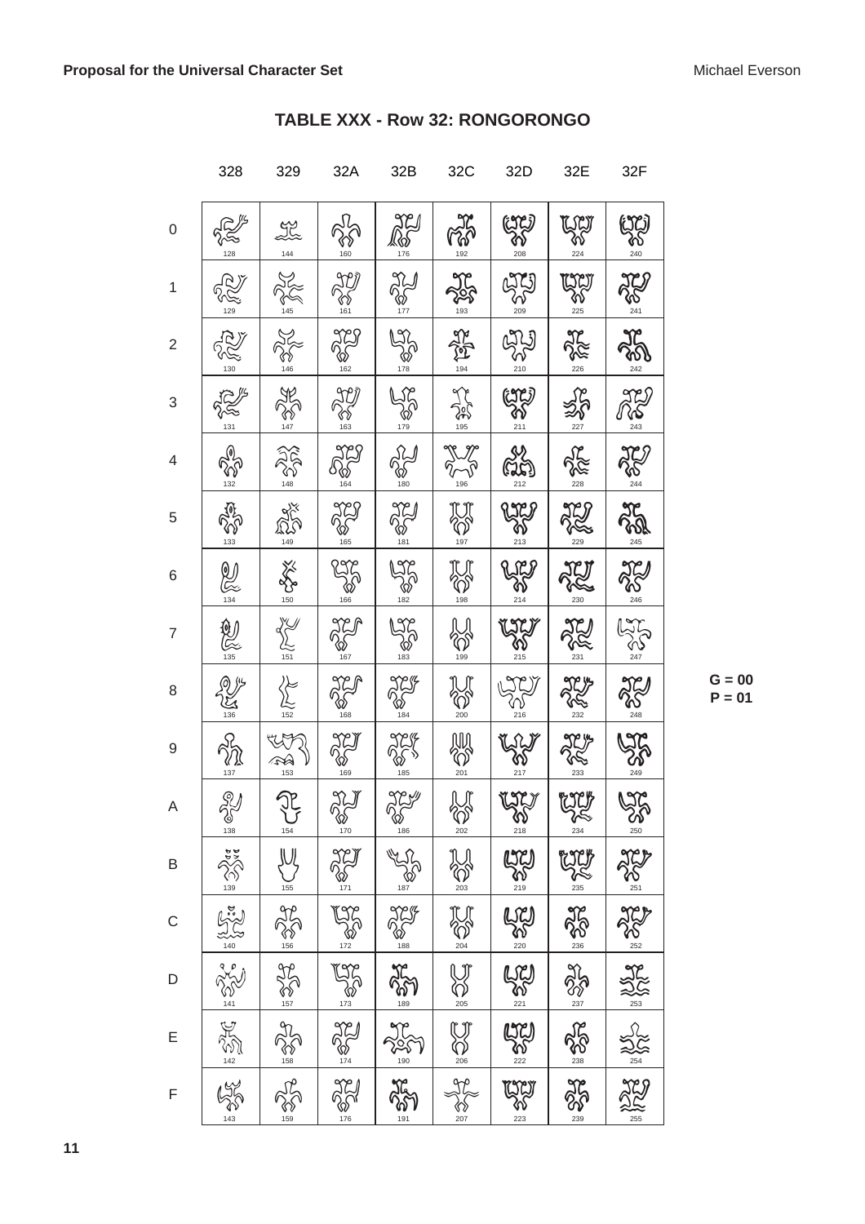|                | 328                                                                                                                                                                                                                                                                                                           | 329                      | 32A                           | 32B                 | 32C                                                                      | 32D                        | 32E                                                                                                                                                                                                                                                                                                                                                                         | 32F                     |
|----------------|---------------------------------------------------------------------------------------------------------------------------------------------------------------------------------------------------------------------------------------------------------------------------------------------------------------|--------------------------|-------------------------------|---------------------|--------------------------------------------------------------------------|----------------------------|-----------------------------------------------------------------------------------------------------------------------------------------------------------------------------------------------------------------------------------------------------------------------------------------------------------------------------------------------------------------------------|-------------------------|
| $\mathbf 0$    |                                                                                                                                                                                                                                                                                                               | LL<br>144                |                               | $\sum_{176}$        | <b>PASSI</b>                                                             | ١                          | EST.<br>GRI<br>224                                                                                                                                                                                                                                                                                                                                                          | $\sum_{240}^{50}$       |
| 1              |                                                                                                                                                                                                                                                                                                               |                          | 90)<br>Post                   | 22                  |                                                                          | <b>AB</b>                  | $\sum_{225}$                                                                                                                                                                                                                                                                                                                                                                | <b>ACCI</b>             |
| $\overline{2}$ | 130                                                                                                                                                                                                                                                                                                           | $\frac{3}{146}$          | <b>AND</b>                    | <b>1920</b>         | <b>ARTISTS</b>                                                           | 275                        | -<br>226                                                                                                                                                                                                                                                                                                                                                                    | JC<br>80                |
| 3              | 2255                                                                                                                                                                                                                                                                                                          | <b>ARY</b>               | $\frac{30}{8}$                | $\frac{1}{20}$      | <b>ASSET</b>                                                             | $\frac{273}{80}$           | $25 - 22$                                                                                                                                                                                                                                                                                                                                                                   | $\sum_{243}^{97}$       |
| $\overline{4}$ | CONGI<br>132                                                                                                                                                                                                                                                                                                  | $\frac{2}{3}$            | 529                           | $25 - 180$          | <b>PLAN</b>                                                              | ್ನಲ್ಲಿ<br>ಮಾ<br>212        | .<br>228                                                                                                                                                                                                                                                                                                                                                                    | <b>ACS</b>              |
| 5              | <b>ADS</b>                                                                                                                                                                                                                                                                                                    | 25/149                   | <b>AND</b>                    | <b>AN</b><br>POTA   | $\bigotimes_{\frac{1}{3}}\bigotimes_{\frac{1}{3}}$                       | <b>2728</b>                | <b>ARTICE</b>                                                                                                                                                                                                                                                                                                                                                               | 245                     |
| 6              | $\bigotimes_{134}$                                                                                                                                                                                                                                                                                            | $\frac{2}{150}$          | <b>RANG</b>                   | $\sum_{182}$        | <b>POST</b>                                                              | <b>ANY</b>                 | JU                                                                                                                                                                                                                                                                                                                                                                          | <b>JEJ</b>              |
| 7              | 2010                                                                                                                                                                                                                                                                                                          | $\sum_{151}$             | <b>AND</b>                    | <b>475</b>          | U<br>V                                                                   | $\sum_{215}$               | AN<br>PRE                                                                                                                                                                                                                                                                                                                                                                   | <b>ANTI</b>             |
| 8              | 136                                                                                                                                                                                                                                                                                                           | $\sum_{152}$             | <b>AC</b>                     | <b>ACIF</b><br>POST | SC <sub>200</sub>                                                        | 216                        | 232                                                                                                                                                                                                                                                                                                                                                                         | JC                      |
| 9              | 137                                                                                                                                                                                                                                                                                                           | <b>15/4</b>              | <b>ACI</b><br>POLICIA         | 185                 | <b>AND</b>                                                               |                            | 233                                                                                                                                                                                                                                                                                                                                                                         |                         |
| A              | $\sum_{138}$                                                                                                                                                                                                                                                                                                  | $\sum_{154}$             | $\frac{1}{\sqrt[3]{8}}$       | <b>ANY</b>          | $\sum_{202}$                                                             | $\frac{1}{\sqrt[25]{6}}$   | $\begin{picture}(40,10) \put(0,0){\vector(0,1){10}} \put(15,0){\vector(0,1){10}} \put(15,0){\vector(0,1){10}} \put(15,0){\vector(0,1){10}} \put(15,0){\vector(0,1){10}} \put(15,0){\vector(0,1){10}} \put(15,0){\vector(0,1){10}} \put(15,0){\vector(0,1){10}} \put(15,0){\vector(0,1){10}} \put(15,0){\vector(0,1){10}} \put(15,0){\vector(0,1){10}} \put(15,0){\vector(0$ | 500                     |
| B              |                                                                                                                                                                                                                                                                                                               |                          |                               |                     |                                                                          |                            |                                                                                                                                                                                                                                                                                                                                                                             |                         |
| $\mathsf C$    |                                                                                                                                                                                                                                                                                                               |                          |                               | <b>CONTA ROOM</b>   | All ACRES                                                                | <b>De a la de la de al</b> | <b>Allen Recent Recent</b>                                                                                                                                                                                                                                                                                                                                                  |                         |
| $\mathsf D$    |                                                                                                                                                                                                                                                                                                               |                          |                               |                     |                                                                          |                            |                                                                                                                                                                                                                                                                                                                                                                             |                         |
| E              | $\frac{1}{2}\sum_{i=1}^n\frac{1}{2}\sum_{i=1}^n\sum_{j=1}^n\sum_{j=1}^n\sum_{j=1}^n\sum_{j=1}^n\sum_{j=1}^n\sum_{j=1}^n\sum_{j=1}^n\sum_{j=1}^n\sum_{j=1}^n\sum_{j=1}^n\sum_{j=1}^n\sum_{j=1}^n\sum_{j=1}^n\sum_{j=1}^n\sum_{j=1}^n\sum_{j=1}^n\sum_{j=1}^n\sum_{j=1}^n\sum_{j=1}^n\sum_{j=1}^n\sum_{j=1}^n\$ | Allen and deal and allen | Age: 2000 1900 1900 1900 1900 | <b>PARTS</b>        | $\frac{1}{\sqrt[n]{\frac{1}{n}}\sum_{\substack{n=1\\ n\neq n}}^{\infty}$ |                            | 250                                                                                                                                                                                                                                                                                                                                                                         | ACE ASE AND AND AND ACT |
| $\mathsf{F}$   |                                                                                                                                                                                                                                                                                                               |                          |                               |                     |                                                                          | $\bigcup_{223}$            | 3558                                                                                                                                                                                                                                                                                                                                                                        |                         |

### TABLE XXX - Row 32: RONGORONGO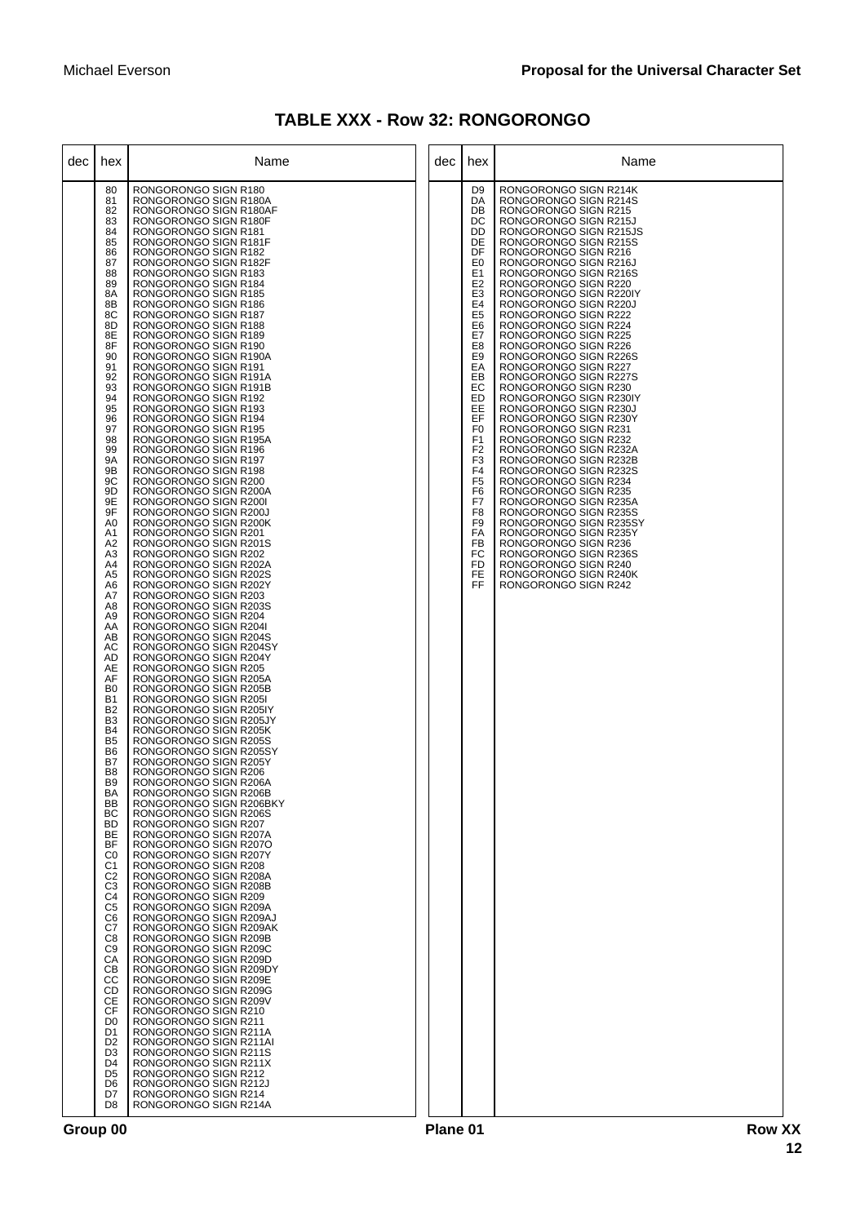| <b>TABLE XXX - Row 32: RONGORONGO</b> |  |  |  |
|---------------------------------------|--|--|--|
|---------------------------------------|--|--|--|

| dec | hex                                                                                                                                                                                                                                                                                                                                                                                                                                                                                                                                                                                                                                                                                                                                                                                                                                                                                                                         | Name                                                                                                                                                                                                                                                                                                                                                                                                                                                                                                                                                                                                                                                                                                                                                                                                                                                                                                                                                                                                                                                                                                                                                                                                                                                                                                                                                                                                                                                                                                                                                                                                                                                                                                                                                                                                                                                                                                                                                                                                                                                                                                                                                                                                                                                                                    | dec | hex                                                                                                                                                                                                                                                                                                                                                                                                                                                                          | Name                                                                                                                                                                                                                                                                                                                                                                                                                                                                                                                                                                                                                                                                                                                                                                                                                                                                                                                                                                                            |
|-----|-----------------------------------------------------------------------------------------------------------------------------------------------------------------------------------------------------------------------------------------------------------------------------------------------------------------------------------------------------------------------------------------------------------------------------------------------------------------------------------------------------------------------------------------------------------------------------------------------------------------------------------------------------------------------------------------------------------------------------------------------------------------------------------------------------------------------------------------------------------------------------------------------------------------------------|-----------------------------------------------------------------------------------------------------------------------------------------------------------------------------------------------------------------------------------------------------------------------------------------------------------------------------------------------------------------------------------------------------------------------------------------------------------------------------------------------------------------------------------------------------------------------------------------------------------------------------------------------------------------------------------------------------------------------------------------------------------------------------------------------------------------------------------------------------------------------------------------------------------------------------------------------------------------------------------------------------------------------------------------------------------------------------------------------------------------------------------------------------------------------------------------------------------------------------------------------------------------------------------------------------------------------------------------------------------------------------------------------------------------------------------------------------------------------------------------------------------------------------------------------------------------------------------------------------------------------------------------------------------------------------------------------------------------------------------------------------------------------------------------------------------------------------------------------------------------------------------------------------------------------------------------------------------------------------------------------------------------------------------------------------------------------------------------------------------------------------------------------------------------------------------------------------------------------------------------------------------------------------------------|-----|------------------------------------------------------------------------------------------------------------------------------------------------------------------------------------------------------------------------------------------------------------------------------------------------------------------------------------------------------------------------------------------------------------------------------------------------------------------------------|-------------------------------------------------------------------------------------------------------------------------------------------------------------------------------------------------------------------------------------------------------------------------------------------------------------------------------------------------------------------------------------------------------------------------------------------------------------------------------------------------------------------------------------------------------------------------------------------------------------------------------------------------------------------------------------------------------------------------------------------------------------------------------------------------------------------------------------------------------------------------------------------------------------------------------------------------------------------------------------------------|
|     | 80<br>81<br>82<br>83<br>84<br>85<br>86<br>87<br>88<br>89<br>8A<br>8B<br>8C<br>8D<br>8E<br>8F<br>90<br>91<br>92<br>93<br>94<br>95<br>96<br>97<br>98<br>99<br><b>9A</b><br>9B<br>9C<br>9D<br>9E<br>9F<br>A <sub>0</sub><br>A1<br>A2<br>A <sub>3</sub><br>A4<br>A5<br>A6<br>A7<br>A8<br>A <sub>9</sub><br>AA<br>AB<br>АC<br>AD<br>AE<br>AF<br>B <sub>0</sub><br><b>B1</b><br><b>B2</b><br>B <sub>3</sub><br>B <sub>4</sub><br>B <sub>5</sub><br>B <sub>6</sub><br>B7<br>B <sub>8</sub><br>B <sub>9</sub><br>ВA<br><b>BB</b><br>BC<br><b>BD</b><br>ВE<br><b>BF</b><br>C <sub>0</sub><br>C <sub>1</sub><br>C <sub>2</sub><br>C <sub>3</sub><br>C <sub>4</sub><br>C <sub>5</sub><br>C <sub>6</sub><br>C7<br>C8<br>C <sub>9</sub><br>CA<br>CВ<br>CC<br><b>CD</b><br>СE<br>CF<br>D <sub>0</sub><br>D <sub>1</sub><br>D <sub>2</sub><br>D <sub>3</sub><br>D <sub>4</sub><br>D <sub>5</sub><br>D <sub>6</sub><br>D7<br>D <sub>8</sub> | RONGORONGO SIGN R180<br>RONGORONGO SIGN R180A<br>RONGORONGO SIGN R180AF<br>RONGORONGO SIGN R180F<br>RONGORONGO SIGN R181<br>RONGORONGO SIGN R181F<br>RONGORONGO SIGN R182<br>RONGORONGO SIGN R182F<br>RONGORONGO SIGN R183<br>RONGORONGO SIGN R184<br>RONGORONGO SIGN R185<br>RONGORONGO SIGN R186<br>RONGORONGO SIGN R187<br>RONGORONGO SIGN R188<br>RONGORONGO SIGN R189<br>RONGORONGO SIGN R190<br>RONGORONGO SIGN R190A<br>RONGORONGO SIGN R191<br>RONGORONGO SIGN R191A<br>RONGORONGO SIGN R191B<br>RONGORONGO SIGN R192<br>RONGORONGO SIGN R193<br>RONGORONGO SIGN R194<br>RONGORONGO SIGN R195<br>RONGORONGO SIGN R195A<br>RONGORONGO SIGN R196<br>RONGORONGO SIGN R197<br>RONGORONGO SIGN R198<br>RONGORONGO SIGN R200<br>RONGORONGO SIGN R200A<br>RONGORONGO SIGN R2001<br>RONGORONGO SIGN R200J<br>RONGORONGO SIGN R200K<br>RONGORONGO SIGN R201<br>RONGORONGO SIGN R201S<br>RONGORONGO SIGN R202<br>RONGORONGO SIGN R202A<br>RONGORONGO SIGN R202S<br>RONGORONGO SIGN R202Y<br>RONGORONGO SIGN R203<br>RONGORONGO SIGN R203S<br>RONGORONGO SIGN R204<br>RONGORONGO SIGN R204I<br>RONGORONGO SIGN R204S<br>RONGORONGO SIGN R204SY<br>RONGORONGO SIGN R204Y<br>RONGORONGO SIGN R205<br>RONGORONGO SIGN R205A<br>RONGORONGO SIGN R205B<br>RONGORONGO SIGN R205I<br>RONGORONGO SIGN R205IY<br>RONGORONGO SIGN R205JY<br>RONGORONGO SIGN R205K<br>RONGORONGO SIGN R205S<br>RONGORONGO SIGN R205SY<br>RONGORONGO SIGN R205Y<br>RONGORONGO SIGN R206<br>RONGORONGO SIGN R206A<br>RUNGURUNGU SIGN RZ06B<br>RONGORONGO SIGN R206BKY<br>RONGORONGO SIGN R206S<br>RONGORONGO SIGN R207<br>RONGORONGO SIGN R207A<br>RONGORONGO SIGN R207O<br>RONGORONGO SIGN R207Y<br>RONGORONGO SIGN R208<br>RONGORONGO SIGN R208A<br>RONGORONGO SIGN R208B<br>RONGORONGO SIGN R209<br>RONGORONGO SIGN R209A<br>RONGORONGO SIGN R209AJ<br>RONGORONGO SIGN R209AK<br>RONGORONGO SIGN R209B<br>RONGORONGO SIGN R209C<br>RONGORONGO SIGN R209D<br>RONGORONGO SIGN R209DY<br>RONGORONGO SIGN R209E<br>RONGORONGO SIGN R209G<br>RONGORONGO SIGN R209V<br>RONGORONGO SIGN R210<br>RONGORONGO SIGN R211<br>RONGORONGO SIGN R211A<br>RONGORONGO SIGN R211AI<br>RONGORONGO SIGN R211S<br>RONGORONGO SIGN R211X<br>RONGORONGO SIGN R212<br>RONGORONGO SIGN R212J<br>RONGORONGO SIGN R214<br>RONGORONGO SIGN R214A |     | D <sub>9</sub><br>DA<br>DB<br>DC<br>DD<br>DE<br>DF<br>E <sub>0</sub><br>E <sub>1</sub><br>E <sub>2</sub><br>E <sub>3</sub><br>E <sub>4</sub><br>E <sub>5</sub><br>E <sub>6</sub><br>E7<br>E8<br>E <sub>9</sub><br>EA<br>EВ<br>EC<br>ED<br>EE<br>EF<br>F <sub>0</sub><br>F <sub>1</sub><br>F <sub>2</sub><br>F <sub>3</sub><br>F <sub>4</sub><br>F <sub>5</sub><br>F <sub>6</sub><br>F7<br>F <sub>8</sub><br>F <sub>9</sub><br>FA<br><b>FB</b><br>FC<br>FD<br><b>FE</b><br>FF | RONGORONGO SIGN R214K<br>RONGORONGO SIGN R214S<br>RONGORONGO SIGN R215<br>RONGORONGO SIGN R215J<br>RONGORONGO SIGN R215JS<br>RONGORONGO SIGN R215S<br>RONGORONGO SIGN R216<br>RONGORONGO SIGN R216J<br>RONGORONGO SIGN R216S<br>RONGORONGO SIGN R220<br>RONGORONGO SIGN R220IY<br>RONGORONGO SIGN R220J<br>RONGORONGO SIGN R222<br>RONGORONGO SIGN R224<br>RONGORONGO SIGN R225<br>RONGORONGO SIGN R226<br>RONGORONGO SIGN R226S<br>RONGORONGO SIGN R227<br>RONGORONGO SIGN R227S<br>RONGORONGO SIGN R230<br>RONGORONGO SIGN R230IY<br>RONGORONGO SIGN R230J<br>RONGORONGO SIGN R230Y<br>RONGORONGO SIGN R231<br>RONGORONGO SIGN R232<br>RONGORONGO SIGN R232A<br>RONGORONGO SIGN R232B<br>RONGORONGO SIGN R232S<br>RONGORONGO SIGN R234<br>RONGORONGO SIGN R235<br>RONGORONGO SIGN R235A<br>RONGORONGO SIGN R235S<br>RONGORONGO SIGN R235SY<br>RONGORONGO SIGN R235Y<br>RONGORONGO SIGN R236<br>RONGORONGO SIGN R236S<br>RONGORONGO SIGN R240<br>RONGORONGO SIGN R240K<br>RONGORONGO SIGN R242 |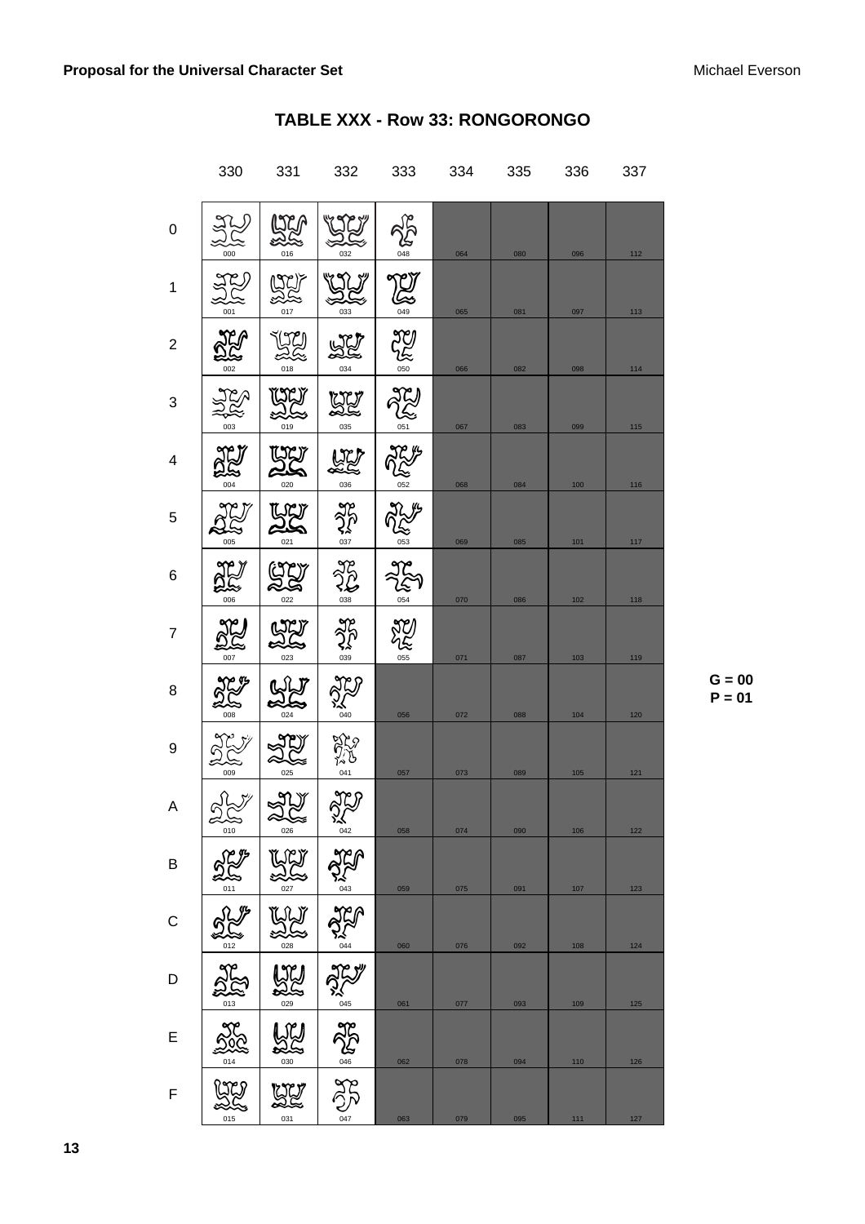|   | 330                  | 331                                                                                                                                                                                                                                                                                                                                                 | 332                | 333                 | 334 | 335 | 336   | 337   |
|---|----------------------|-----------------------------------------------------------------------------------------------------------------------------------------------------------------------------------------------------------------------------------------------------------------------------------------------------------------------------------------------------|--------------------|---------------------|-----|-----|-------|-------|
| 0 | 000                  | $\begin{picture}(22,111) \put(0,0){\line(1,0){10}} \put(15,0){\line(1,0){10}} \put(15,0){\line(1,0){10}} \put(15,0){\line(1,0){10}} \put(15,0){\line(1,0){10}} \put(15,0){\line(1,0){10}} \put(15,0){\line(1,0){10}} \put(15,0){\line(1,0){10}} \put(15,0){\line(1,0){10}} \put(15,0){\line(1,0){10}} \put(15,0){\line(1,0){10}} \put(15,0){\line($ | 032                | &<br>048            | 064 | 080 | 096   | 112   |
| 1 | $\frac{27}{20}$      | <b>ARY</b><br>017                                                                                                                                                                                                                                                                                                                                   | 033                | <b>REA</b>          | 065 | 081 | 097   | 113   |
| 2 | 002                  | $\frac{1}{2}$                                                                                                                                                                                                                                                                                                                                       | 034                | <b>CHANGE</b>       | 066 | 082 | 098   | 114   |
| 3 | २ूँदू<br>003         | ES<br>E<br>019                                                                                                                                                                                                                                                                                                                                      | <u>UU</u><br>035   | AZY                 | 067 | 083 | 099   | 115   |
| 4 | 004                  | <b>UNY</b>                                                                                                                                                                                                                                                                                                                                          | <b>ARY</b>         | <b>ARYA</b><br>Call | 068 | 084 | 100   | 116   |
| 5 | 005                  | UW<br>25<br>021                                                                                                                                                                                                                                                                                                                                     | 25                 | <b>JR 145</b>       | 069 | 085 | 101   | $117$ |
| 6 | 006                  | ES.<br>022                                                                                                                                                                                                                                                                                                                                          | 28                 | <b>JE</b><br>VE     | 070 | 086 | 102   | 118   |
| 7 | <b>SE</b><br>007     | 22                                                                                                                                                                                                                                                                                                                                                  | $\frac{25}{25}$    | いん                  | 071 | 087 | 103   | 119   |
| 8 | 008                  | 024                                                                                                                                                                                                                                                                                                                                                 | <b>ARD</b>         | 056                 | 072 | 088 | 104   | 120   |
| 9 | -<br>009             | 025                                                                                                                                                                                                                                                                                                                                                 | $\sum_{041}^{120}$ | 057                 | 073 | 089 | 105   | $121$ |
| Α | gky<br>26            | لاياتها<br>اللا<br>026                                                                                                                                                                                                                                                                                                                              | 320                | 058                 | 074 | 090 | 106   | $122$ |
| B | JE 3<br>011          | <u>yy</u><br>027                                                                                                                                                                                                                                                                                                                                    | <b>AND</b>         | 059                 | 075 | 091 | 107   | 123   |
| С | JRJ<br>012           | LW<br>22<br>$rac{6}{028}$                                                                                                                                                                                                                                                                                                                           | <b>JAP</b>         | 060                 | 076 | 092 | 108   | 124   |
| D | $\frac{1}{013}$      | <u>ng</u><br>029                                                                                                                                                                                                                                                                                                                                    | 25/27              | 061                 | 077 | 093 | 109   | 125   |
| E | 200                  | UU<br>030                                                                                                                                                                                                                                                                                                                                           | NEWS               | 062                 | 078 | 094 | 110   | 126   |
| F | $\frac{1}{2}$<br>015 | 031                                                                                                                                                                                                                                                                                                                                                 | 047                | 063                 | 079 | 095 | $111$ | 127   |

### TABLE XXX - Row 33: RONGORONGO